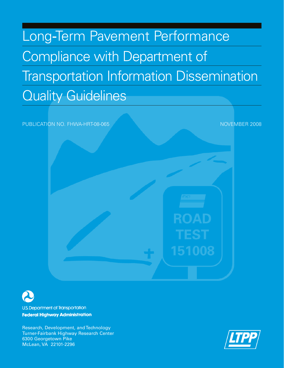# Long-Term Pavement Performance Compliance with Department of Transportation Information Dissemination Quality Guidelines

PUBLICATION NO. FHWA-HRT-08-065 NOVEMBER 2008 151008



**U.S. Department of Transportation Federal Highway Administration** 

Research, Development, and Technology Turner-Fairbank Highway Research Center 6300 Georgetown Pike McLean, VA 22101-2296

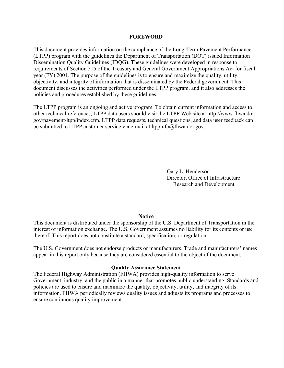#### **FOREWORD**

This document provides information on the compliance of the Long-Term Pavement Performance (LTPP) program with the guidelines the Department of Transportation (DOT) issued Information Dissemination Quality Guidelines (IDQG). These guidelines were developed in response to requirements of Section 515 of the Treasury and General Government Appropriations Act for fiscal year (FY) 2001. The purpose of the guidelines is to ensure and maximize the quality, utility, objectivity, and integrity of information that is disseminated by the Federal government. This document discusses the activities performed under the LTPP program, and it also addresses the policies and procedures established by these guidelines.

The LTPP program is an ongoing and active program. To obtain current information and access to other technical references, LTPP data users should visit the LTPP Web site at http://www.fhwa.dot. gov/pavement/ltpp/index.cfm. LTPP data requests, technical questions, and data user feedback can be submitted to LTPP customer service via e-mail at [ltppinfo@fhwa.dot.gov](mailto:ltppinfo@fhwa.dot.gov).

> Gary L. Henderson Director, Office of Infrastructure Research and Development

#### **Notice**

This document is distributed under the sponsorship of the U.S. Department of Transportation in the interest of information exchange. The U.S. Government assumes no liability for its contents or use thereof. This report does not constitute a standard, specification, or regulation.

The U.S. Government does not endorse products or manufacturers. Trade and manufacturers' names appear in this report only because they are considered essential to the object of the document.

#### **Quality Assurance Statement**

The Federal Highway Administration (FHWA) provides high-quality information to serve Government, industry, and the public in a manner that promotes public understanding. Standards and policies are used to ensure and maximize the quality, objectivity, utility, and integrity of its information. FHWA periodically reviews quality issues and adjusts its programs and processes to ensure continuous quality improvement.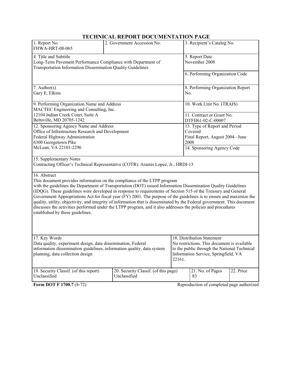# **TECHNICAL REPORT DOCUMENTATION PAGE**

| 1. Report No.<br>FHWA-HRT-08-065                                                                                                                                                                                                                                                                                                                                                                                                                                                                                                                                                                                                                                                                                                      | 2. Government Accession No.                          |                                                                                                                                                                             | 3. Recipient's Catalog No.                                                          |           |  |
|---------------------------------------------------------------------------------------------------------------------------------------------------------------------------------------------------------------------------------------------------------------------------------------------------------------------------------------------------------------------------------------------------------------------------------------------------------------------------------------------------------------------------------------------------------------------------------------------------------------------------------------------------------------------------------------------------------------------------------------|------------------------------------------------------|-----------------------------------------------------------------------------------------------------------------------------------------------------------------------------|-------------------------------------------------------------------------------------|-----------|--|
| 4. Title and Subtitle<br>Long-Term Pavement Performance Compliance with Department of<br>Transportation Information Dissemination Quality Guidelines                                                                                                                                                                                                                                                                                                                                                                                                                                                                                                                                                                                  |                                                      |                                                                                                                                                                             | 5. Report Date<br>November 2008                                                     |           |  |
|                                                                                                                                                                                                                                                                                                                                                                                                                                                                                                                                                                                                                                                                                                                                       |                                                      |                                                                                                                                                                             | 6. Performing Organization Code                                                     |           |  |
| $7.$ Author(s)<br>Gary E. Elkins                                                                                                                                                                                                                                                                                                                                                                                                                                                                                                                                                                                                                                                                                                      |                                                      |                                                                                                                                                                             | 8. Performing Organization Report<br>No.                                            |           |  |
| 9. Performing Organization Name and Address<br>MACTEC Engineering and Consulting, Inc.                                                                                                                                                                                                                                                                                                                                                                                                                                                                                                                                                                                                                                                |                                                      |                                                                                                                                                                             | 10. Work Unit No. (TRAIS)                                                           |           |  |
| 12104 Indian Creek Court, Suite A<br>Beltsville, MD 20705-1242                                                                                                                                                                                                                                                                                                                                                                                                                                                                                                                                                                                                                                                                        |                                                      |                                                                                                                                                                             | 11. Contract or Grant No.<br>DTFH61-02-C-00007                                      |           |  |
| 12. Sponsoring Agency Name and Address<br>Office of Infrastructure Research and Development<br>Federal Highway Administration<br>6300 Georgetown Pike                                                                                                                                                                                                                                                                                                                                                                                                                                                                                                                                                                                 |                                                      |                                                                                                                                                                             | 13. Type of Report and Period<br>Covered<br>Final Report, August 2004– June<br>2008 |           |  |
| McLean, VA 22101-2296                                                                                                                                                                                                                                                                                                                                                                                                                                                                                                                                                                                                                                                                                                                 |                                                      |                                                                                                                                                                             | 14. Sponsoring Agency Code                                                          |           |  |
| 15. Supplementary Notes<br>Contracting Officer's Technical Representative (COTR): Aramis Lopez, Jr., HRDI-13                                                                                                                                                                                                                                                                                                                                                                                                                                                                                                                                                                                                                          |                                                      |                                                                                                                                                                             |                                                                                     |           |  |
| 16. Abstract<br>This document provides information on the compliance of the LTPP program<br>with the guidelines the Department of Transportation (DOT) issued Information Dissemination Quality Guidelines<br>(IDQG). These guidelines were developed in response to requirements of Section 515 of the Treasury and General<br>Government Appropriations Act for fiscal year (FY) 2001. The purpose of the guidelines is to ensure and maximize the<br>quality, utility, objectivity, and integrity of information that is disseminated by the Federal government. This document<br>discusses the activities performed under the LTPP program, and it also addresses the policies and procedures<br>established by these guidelines. |                                                      |                                                                                                                                                                             |                                                                                     |           |  |
| 17. Key Words<br>Data quality, experiment design, data dissemination, Federal<br>information dissemination guidelines, information quality, data system<br>planning, data collection design                                                                                                                                                                                                                                                                                                                                                                                                                                                                                                                                           |                                                      | 18. Distribution Statement<br>No restrictions. This document is available<br>to the public through the National Technical<br>Information Service, Springfield, VA<br>22161. |                                                                                     |           |  |
| 19. Security Classif. (of this report)<br>Unclassified                                                                                                                                                                                                                                                                                                                                                                                                                                                                                                                                                                                                                                                                                | 20. Security Classif. (of this page)<br>Unclassified |                                                                                                                                                                             | 21. No. of Pages<br>83                                                              | 22. Price |  |
| Form DOT F 1700.7 (8-72)                                                                                                                                                                                                                                                                                                                                                                                                                                                                                                                                                                                                                                                                                                              |                                                      |                                                                                                                                                                             | Reproduction of completed page authorized                                           |           |  |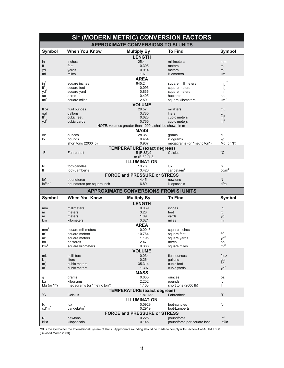| SI* (MODERN METRIC) CONVERSION FACTORS     |                                     |                                                          |                                          |                            |  |
|--------------------------------------------|-------------------------------------|----------------------------------------------------------|------------------------------------------|----------------------------|--|
| <b>APPROXIMATE CONVERSIONS TO SI UNITS</b> |                                     |                                                          |                                          |                            |  |
| <b>Symbol</b>                              | <b>When You Know</b>                | <b>Multiply By</b>                                       | <b>To Find</b>                           | <b>Symbol</b>              |  |
|                                            |                                     | <b>LENGTH</b>                                            |                                          |                            |  |
| in                                         | inches                              | 25.4                                                     | millimeters                              | mm                         |  |
| ft                                         | feet                                | 0.305                                                    | meters                                   | m                          |  |
| yd                                         | yards                               | 0.914                                                    | meters                                   | m                          |  |
| mi                                         | miles                               | 1.61                                                     | kilometers                               | km                         |  |
| $in^2$                                     |                                     | <b>AREA</b><br>645.2                                     |                                          | $\text{mm}^2$              |  |
| $ft^2$                                     | square inches<br>square feet        | 0.093                                                    | square millimeters<br>square meters      | m <sup>2</sup>             |  |
| $yd^2$                                     | square yard                         | 0.836                                                    | square meters                            | m <sup>2</sup>             |  |
| ac                                         | acres                               | 0.405                                                    | hectares                                 | ha                         |  |
| mi <sup>2</sup>                            | square miles                        | 2.59                                                     | square kilometers                        | km <sup>2</sup>            |  |
|                                            |                                     | <b>VOLUME</b>                                            |                                          |                            |  |
| fl oz                                      | fluid ounces                        | 29.57                                                    | milliliters                              | mL                         |  |
| $\frac{gal}{ft^3}$                         | gallons                             | 3.785                                                    | liters                                   | L                          |  |
|                                            | cubic feet                          | 0.028                                                    | cubic meters                             | m <sup>3</sup>             |  |
| $yd^3$                                     | cubic yards                         | 0.765                                                    | cubic meters                             | m <sup>3</sup>             |  |
|                                            |                                     | NOTE: volumes greater than 1000 L shall be shown in $m3$ |                                          |                            |  |
|                                            |                                     | <b>MASS</b>                                              |                                          |                            |  |
| 0Z                                         | ounces                              | 28.35                                                    | grams                                    | g                          |  |
| lb<br>T                                    | pounds                              | 0.454                                                    | kilograms<br>megagrams (or "metric ton") | kg                         |  |
|                                            | short tons (2000 lb)                | 0.907                                                    |                                          | $Mg$ (or "t")              |  |
| $\mathrm{P}$                               |                                     | <b>TEMPERATURE (exact degrees)</b>                       | Celsius                                  | $^{\circ}$ C               |  |
|                                            | Fahrenheit                          | 5 (F-32)/9<br>or (F-32)/1.8                              |                                          |                            |  |
|                                            |                                     | <b>ILLUMINATION</b>                                      |                                          |                            |  |
| fc                                         | foot-candles                        | 10.76                                                    | lux                                      | Ιx                         |  |
| fl                                         | foot-Lamberts                       | 3.426                                                    | candela/ $m2$                            | cd/m <sup>2</sup>          |  |
|                                            |                                     | <b>FORCE and PRESSURE or STRESS</b>                      |                                          |                            |  |
| Ibf                                        | poundforce                          | 4.45                                                     | newtons                                  | $\mathsf{N}$               |  |
| lbf/in <sup>2</sup>                        | poundforce per square inch          | 6.89                                                     | kilopascals                              | kPa                        |  |
|                                            |                                     |                                                          |                                          |                            |  |
|                                            |                                     |                                                          |                                          |                            |  |
|                                            |                                     | <b>APPROXIMATE CONVERSIONS FROM SI UNITS</b>             |                                          |                            |  |
| <b>Symbol</b>                              | <b>When You Know</b>                | <b>Multiply By</b>                                       | <b>To Find</b>                           | <b>Symbol</b>              |  |
|                                            |                                     | <b>LENGTH</b>                                            |                                          |                            |  |
| mm                                         | millimeters                         | 0.039                                                    | inches                                   | in                         |  |
| m                                          | meters                              | 3.28                                                     | feet                                     | ft                         |  |
| m                                          | meters                              | 1.09                                                     | yards                                    | yd                         |  |
| km                                         | kilometers                          | 0.621                                                    | miles                                    | mi                         |  |
|                                            |                                     | <b>AREA</b>                                              |                                          |                            |  |
| mm <sup>2</sup><br>m <sup>2</sup>          | square millimeters<br>square meters | 0.0016<br>10.764                                         | square inches<br>square feet             | $in^2$<br>$ft^2$           |  |
| m <sup>2</sup>                             | square meters                       | 1.195                                                    | square yards                             | $yd^2$                     |  |
| ha                                         | hectares                            | 2.47                                                     | acres                                    | ac                         |  |
| km <sup>2</sup>                            | square kilometers                   | 0.386                                                    | square miles                             | mi <sup>2</sup>            |  |
|                                            |                                     | <b>VOLUME</b>                                            |                                          |                            |  |
| mL                                         | milliliters                         | 0.034                                                    | fluid ounces                             | fl oz                      |  |
| L                                          | liters                              | 0.264                                                    | qallons                                  |                            |  |
| m <sup>3</sup>                             | cubic meters                        | 35.314                                                   | cubic feet                               | $\frac{gal}{ft^3}$         |  |
| m <sup>3</sup>                             | cubic meters                        | 1.307                                                    | cubic yards                              | $yd^3$                     |  |
|                                            |                                     | <b>MASS</b>                                              |                                          |                            |  |
| g                                          | grams                               | 0.035                                                    | ounces                                   | oz                         |  |
| kg                                         | kilograms                           | 2.202                                                    | pounds                                   | Ib                         |  |
| $Mg$ (or "t")                              | megagrams (or "metric ton")         | 1.103                                                    | short tons (2000 lb)                     | T                          |  |
| $^{\circ}C$                                | Celsius                             | <b>TEMPERATURE (exact degrees)</b><br>$1.8C + 32$        | Fahrenheit                               | $\mathrm{P}$               |  |
|                                            |                                     |                                                          |                                          |                            |  |
| lx                                         | lux                                 | <b>ILLUMINATION</b><br>0.0929                            | foot-candles                             | fc                         |  |
| cd/m <sup>2</sup>                          | candela/ $m2$                       | 0.2919                                                   | foot-Lamberts                            | fl                         |  |
|                                            |                                     | <b>FORCE and PRESSURE or STRESS</b>                      |                                          |                            |  |
| N                                          | newtons                             | 0.225                                                    | poundforce<br>poundforce per square inch | Ibf<br>lbf/in <sup>2</sup> |  |

\*SI is the symbol for the International System of Units. Appropriate rounding should be made to comply with Section 4 of ASTM E380.<br>(Revised March 2003)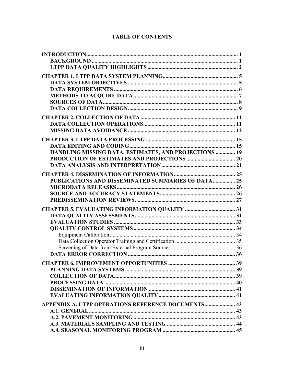| HANDLING MISSING DATA, ESTIMATES, AND PROJECTIONS  19     |  |
|-----------------------------------------------------------|--|
|                                                           |  |
|                                                           |  |
|                                                           |  |
| <b>PUBLICATIONS AND DISSEMINATED SUMMARIES OF DATA 25</b> |  |
|                                                           |  |
|                                                           |  |
|                                                           |  |
|                                                           |  |
|                                                           |  |
|                                                           |  |
|                                                           |  |
|                                                           |  |
|                                                           |  |
|                                                           |  |
|                                                           |  |
|                                                           |  |
|                                                           |  |
|                                                           |  |
|                                                           |  |
|                                                           |  |
|                                                           |  |
| APPENDIX A. LTPP OPERATIONS REFERENCE DOCUMENTS 43        |  |
|                                                           |  |
|                                                           |  |
|                                                           |  |
|                                                           |  |

# **TABLE OF CONTENTS**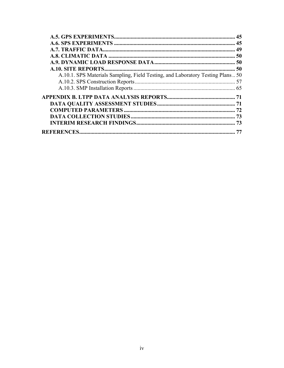|                                                                                | 45 |
|--------------------------------------------------------------------------------|----|
|                                                                                |    |
|                                                                                |    |
|                                                                                |    |
|                                                                                |    |
|                                                                                |    |
| A.10.1. SPS Materials Sampling, Field Testing, and Laboratory Testing Plans 50 |    |
|                                                                                |    |
|                                                                                |    |
|                                                                                |    |
|                                                                                |    |
|                                                                                |    |
|                                                                                | 73 |
|                                                                                |    |
|                                                                                |    |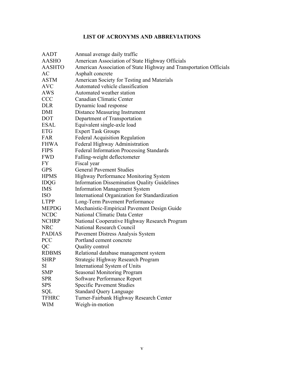# **LIST OF ACRONYMS AND ABBREVIATIONS**

| <b>AADT</b>   | Annual average daily traffic                                       |
|---------------|--------------------------------------------------------------------|
| <b>AASHO</b>  | American Association of State Highway Officials                    |
| <b>AASHTO</b> | American Association of State Highway and Transportation Officials |
| AC            | Asphalt concrete                                                   |
| <b>ASTM</b>   | American Society for Testing and Materials                         |
| <b>AVC</b>    | Automated vehicle classification                                   |
| AWS           | Automated weather station                                          |
| <b>CCC</b>    | Canadian Climatic Center                                           |
| <b>DLR</b>    | Dynamic load response                                              |
| DMI           | <b>Distance Measuring Instrument</b>                               |
| <b>DOT</b>    | Department of Transportation                                       |
| ESAL          | Equivalent single-axle load                                        |
| <b>ETG</b>    | <b>Expert Task Groups</b>                                          |
| FAR           | <b>Federal Acquisition Regulation</b>                              |
| <b>FHWA</b>   | Federal Highway Administration                                     |
| <b>FIPS</b>   | <b>Federal Information Processing Standards</b>                    |
| <b>FWD</b>    | Falling-weight deflectometer                                       |
| FY            | Fiscal year                                                        |
| <b>GPS</b>    | <b>General Pavement Studies</b>                                    |
| <b>HPMS</b>   | Highway Performance Monitoring System                              |
| <b>IDQG</b>   | <b>Information Dissemination Quality Guidelines</b>                |
| <b>IMS</b>    | <b>Information Management System</b>                               |
| <b>ISO</b>    | International Organization for Standardization                     |
| <b>LTPP</b>   | Long-Term Pavement Performance                                     |
| <b>MEPDG</b>  | Mechanistic-Empirical Pavement Design Guide                        |
| <b>NCDC</b>   | National Climatic Data Center                                      |
| <b>NCHRP</b>  | National Cooperative Highway Research Program                      |
| <b>NRC</b>    | National Research Council                                          |
| <b>PADIAS</b> | Pavement Distress Analysis System                                  |
| <b>PCC</b>    | Portland cement concrete                                           |
| QC            | Quality control                                                    |
| <b>RDBMS</b>  | Relational database management system                              |
| <b>SHRP</b>   | Strategic Highway Research Program                                 |
| SI            | International System of Units                                      |
| <b>SMP</b>    | <b>Seasonal Monitoring Program</b>                                 |
| <b>SPR</b>    | Software Performance Report                                        |
| <b>SPS</b>    | <b>Specific Pavement Studies</b>                                   |
| SQL           | <b>Standard Query Language</b>                                     |
| <b>TFHRC</b>  | Turner-Fairbank Highway Research Center                            |
| <b>WIM</b>    | Weigh-in-motion                                                    |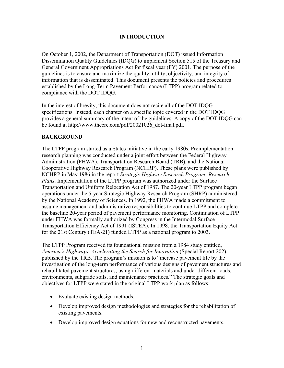## **INTRODUCTION**

<span id="page-8-0"></span>On October 1, 2002, the Department of Transportation (DOT) issued Information Dissemination Quality Guidelines (IDQG) to implement Section 515 of the Treasury and General Government Appropriations Act for fiscal year (FY) 2001. The purpose of the guidelines is to ensure and maximize the quality, utility, objectivity, and integrity of information that is disseminated. This document presents the policies and procedures established by the Long-Term Pavement Performance (LTPP) program related to compliance with the DOT IDQG.

In the interest of brevity, this document does not recite all of the DOT IDQG specifications. Instead, each chapter on a specific topic covered in the DOT IDQG provides a general summary of the intent of the guidelines. A copy of the DOT IDQG can be found at [http://www.thecre.com/pdf/20021026\\_dot-final.pdf.](http://www.thecre.com/pdf/20021026_dot-final.pdf)

## <span id="page-8-1"></span>**BACKGROUND**

The LTPP program started as a States initiative in the early 1980s. Preimplementation research planning was conducted under a joint effort between the Federal Highway Administration (FHWA), Transportation Research Board (TRB), and the National Cooperative Highway Research Program (NCHRP). These plans were published by NCHRP in May 1986 in the report *Strategic Highway Research Program: Research Plans*. Implementation of the LTPP program was authorized under the Surface Transportation and Uniform Relocation Act of 1987. The 20-year LTPP program began operations under the 5-year Strategic Highway Research Program (SHRP) administered by the National Academy of Sciences. In 1992, the FHWA made a commitment to assume management and administrative responsibilities to continue LTPP and complete the baseline 20-year period of pavement performance monitoring. Continuation of LTPP under FHWA was formally authorized by Congress in the Intermodal Surface Transportation Efficiency Act of 1991 (ISTEA). In 1998, the Transportation Equity Act for the 21st Century (TEA-21) funded LTPP as a national program to 2003.

The LTPP Program received its foundational mission from a 1984 study entitled, *America's Highways: Accelerating the Search for Innovation* (Special Report 202), published by the TRB. The program's mission is to "increase pavement life by the investigation of the long-term performance of various designs of pavement structures and rehabilitated pavement structures, using different materials and under different loads, environments, subgrade soils, and maintenance practices." The strategic goals and objectives for LTPP were stated in the original LTPP work plan as follows:

- Evaluate existing design methods.
- Develop improved design methodologies and strategies for the rehabilitation of existing pavements.
- Develop improved design equations for new and reconstructed pavements.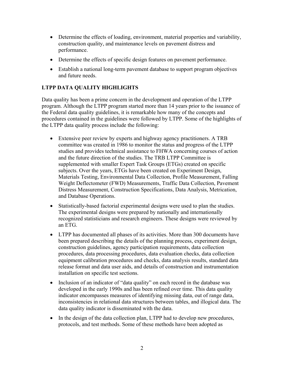- Determine the effects of loading, environment, material properties and variability, construction quality, and maintenance levels on pavement distress and performance.
- Determine the effects of specific design features on pavement performance.
- Establish a national long-term pavement database to support program objectives and future needs.

# <span id="page-9-0"></span>**LTPP DATA QUALITY HIGHLIGHTS**

Data quality has been a prime concern in the development and operation of the LTPP program. Although the LTPP program started more than 14 years prior to the issuance of the Federal data quality guidelines, it is remarkable how many of the concepts and procedures contained in the guidelines were followed by LTPP. Some of the highlights of the LTPP data quality process include the following:

- Extensive peer review by experts and highway agency practitioners. A TRB committee was created in 1986 to monitor the status and progress of the LTPP studies and provides technical assistance to FHWA concerning courses of action and the future direction of the studies. The TRB LTPP Committee is supplemented with smaller Expert Task Groups (ETGs) created on specific subjects. Over the years, ETGs have been created on Experiment Design, Materials Testing, Environmental Data Collection, Profile Measurement, Falling Weight Deflectometer (FWD) Measurements, Traffic Data Collection, Pavement Distress Measurement, Construction Specifications, Data Analysis, Metrication, and Database Operations.
- Statistically-based factorial experimental designs were used to plan the studies. The experimental designs were prepared by nationally and internationally recognized statisticians and research engineers. These designs were reviewed by an ETG.
- LTPP has documented all phases of its activities. More than 300 documents have been prepared describing the details of the planning process, experiment design, construction guidelines, agency participation requirements, data collection procedures, data processing procedures, data evaluation checks, data collection equipment calibration procedures and checks, data analysis results, standard data release format and data user aids, and details of construction and instrumentation installation on specific test sections.
- Inclusion of an indicator of "data quality" on each record in the database was developed in the early 1990s and has been refined over time. This data quality indicator encompasses measures of identifying missing data, out of range data, inconsistencies in relational data structures between tables, and illogical data. The data quality indicator is disseminated with the data.
- In the design of the data collection plan, LTPP had to develop new procedures, protocols, and test methods. Some of these methods have been adopted as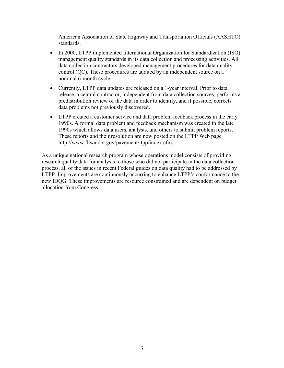American Association of State Highway and Transportation Officials (AASHTO) standards.

- In 2000, LTPP implemented International Organization for Standardization (ISO) management quality standards in its data collection and processing activities. All data collection contractors developed management procedures for data quality control (QC). These procedures are audited by an independent source on a nominal 6-month cycle.
- Currently, LTPP data updates are released on a 1-year interval. Prior to data release, a central contractor, independent from data collection sources, performs a predistribution review of the data in order to identify, and if possible, corrects data problems not previously discovered.
- LTPP created a customer service and data problem feedback process in the early 1990s. A formal data problem and feedback mechanism was created in the late 1990s which allows data users, analysts, and others to submit problem reports. These reports and their resolution are now posted on the LTPP Web page http://www.fhwa.dot.gov/pavement/ltpp/index.cfm.

As a unique national research program whose operations model consists of providing research quality data for analysis to those who did not participate in the data collection process, all of the issues in recent Federal guides on data quality had to be addressed by LTPP. Improvements are continuously occurring to enhance LTPP's conformance to the new IDQG. These improvements are resource constrained and are dependent on budget allocation from Congress.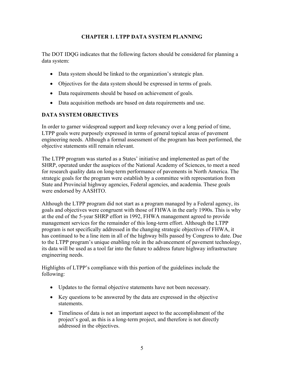# **CHAPTER 1. LTPP DATA SYSTEM PLANNING**

<span id="page-12-0"></span>The DOT IDQG indicates that the following factors should be considered for planning a data system:

- Data system should be linked to the organization's strategic plan.
- Objectives for the data system should be expressed in terms of goals.
- Data requirements should be based on achievement of goals.
- Data acquisition methods are based on data requirements and use.

# <span id="page-12-1"></span>**DATA SYSTEM OBJECTIVES**

In order to garner widespread support and keep relevancy over a long period of time, LTPP goals were purposely expressed in terms of general topical areas of pavement engineering needs. Although a formal assessment of the program has been performed, the objective statements still remain relevant.

The LTPP program was started as a States' initiative and implemented as part of the SHRP, operated under the auspices of the National Academy of Sciences, to meet a need for research quality data on long-term performance of pavements in North America. The strategic goals for the program were establish by a committee with representation from State and Provincial highway agencies, Federal agencies, and academia. These goals were endorsed by AASHTO.

Although the LTPP program did not start as a program managed by a Federal agency, its goals and objectives were congruent with those of FHWA in the early 1990s. This is why at the end of the 5-year SHRP effort in 1992, FHWA management agreed to provide management services for the remainder of this long-term effort. Although the LTPP program is not specifically addressed in the changing strategic objectives of FHWA, it has continued to be a line item in all of the highway bills passed by Congress to date. Due to the LTPP program's unique enabling role in the advancement of pavement technology, its data will be used as a tool far into the future to address future highway infrastructure engineering needs.

Highlights of LTPP's compliance with this portion of the guidelines include the following:

- Updates to the formal objective statements have not been necessary.
- Key questions to be answered by the data are expressed in the objective statements.
- Timeliness of data is not an important aspect to the accomplishment of the project's goal, as this is a long-term project, and therefore is not directly addressed in the objectives.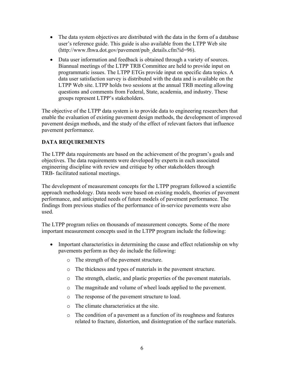- The data system objectives are distributed with the data in the form of a database user's reference guide. This guide is also available from the LTPP Web site ([http://www.fhwa.dot.gov/pavement/pub\\_details.cfm?id=96\)](http://www.fhwa.dot.gov/pavement/pub_details.cfm?id=96).
- Data user information and feedback is obtained through a variety of sources. Biannual meetings of the LTPP TRB Committee are held to provide input on programmatic issues. The LTPP ETGs provide input on specific data topics. A data user satisfaction survey is distributed with the data and is available on the LTPP Web site. LTPP holds two sessions at the annual TRB meeting allowing questions and comments from Federal, State, academia, and industry. These groups represent LTPP's stakeholders.

The objective of the LTPP data system is to provide data to engineering researchers that enable the evaluation of existing pavement design methods, the development of improved pavement design methods, and the study of the effect of relevant factors that influence pavement performance.

# <span id="page-13-0"></span>**DATA REQUIREMENTS**

The LTPP data requirements are based on the achievement of the program's goals and objectives. The data requirements were developed by experts in each associated engineering discipline with review and critique by other stakeholders through TRB- facilitated national meetings.

The development of measurement concepts for the LTPP program followed a scientific approach methodology. Data needs were based on existing models, theories of pavement performance, and anticipated needs of future models of pavement performance. The findings from previous studies of the performance of in-service pavements were also used.

The LTPP program relies on thousands of measurement concepts. Some of the more important measurement concepts used in the LTPP program include the following:

- Important characteristics in determining the cause and effect relationship on why pavements perform as they do include the following:
	- o The strength of the pavement structure.
	- o The thickness and types of materials in the pavement structure.
	- o The strength, elastic, and plastic properties of the pavement materials.
	- o The magnitude and volume of wheel loads applied to the pavement.
	- o The response of the pavement structure to load.
	- o The climate characteristics at the site.
	- o The condition of a pavement as a function of its roughness and features related to fracture, distortion, and disintegration of the surface materials.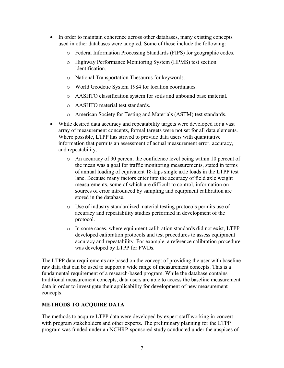- In order to maintain coherence across other databases, many existing concepts used in other databases were adopted. Some of these include the following:
	- o Federal Information Processing Standards (FIPS) for geographic codes.
	- o Highway Performance Monitoring System (HPMS) test section identification.
	- o National Transportation Thesaurus for keywords.
	- o World Geodetic System 1984 for location coordinates.
	- o AASHTO classification system for soils and unbound base material.
	- o AASHTO material test standards.
	- o American Society for Testing and Materials (ASTM) test standards.
- While desired data accuracy and repeatability targets were developed for a vast array of measurement concepts, formal targets were not set for all data elements. Where possible, LTPP has strived to provide data users with quantitative information that permits an assessment of actual measurement error, accuracy, and repeatability.
	- o An accuracy of 90 percent the confidence level being within 10 percent of the mean was a goal for traffic monitoring measurements, stated in terms of annual loading of equivalent 18-kips single axle loads in the LTPP test lane. Because many factors enter into the accuracy of field axle weight measurements, some of which are difficult to control, information on sources of error introduced by sampling and equipment calibration are stored in the database.
	- o Use of industry standardized material testing protocols permits use of accuracy and repeatability studies performed in development of the protocol.
	- o In some cases, where equipment calibration standards did not exist, LTPP developed calibration protocols and test procedures to assess equipment accuracy and repeatability. For example, a reference calibration procedure was developed by LTPP for FWDs.

The LTPP data requirements are based on the concept of providing the user with baseline raw data that can be used to support a wide range of measurement concepts. This is a fundamental requirement of a research-based program. While the database contains traditional measurement concepts, data users are able to access the baseline measurement data in order to investigate their applicability for development of new measurement concepts.

# <span id="page-14-0"></span>**METHODS TO ACQUIRE DATA**

The methods to acquire LTPP data were developed by expert staff working in-concert with program stakeholders and other experts. The preliminary planning for the LTPP program was funded under an NCHRP-sponsored study conducted under the auspices of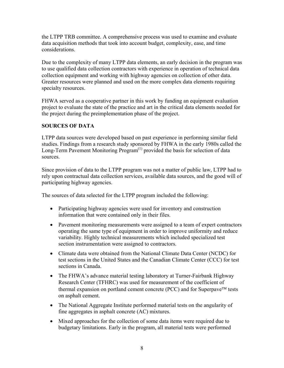the LTPP TRB committee. A comprehensive process was used to examine and evaluate data acquisition methods that took into account budget, complexity, ease, and time considerations.

Due to the complexity of many LTPP data elements, an early decision in the program was to use qualified data collection contractors with experience in operation of technical data collection equipment and working with highway agencies on collection of other data. Greater resources were planned and used on the more complex data elements requiring specialty resources.

FHWA served as a cooperative partner in this work by funding an equipment evaluation project to evaluate the state of the practice and art in the critical data elements needed for the project during the preimplementation phase of the project.

## <span id="page-15-0"></span>**SOURCES OF DATA**

LTPP data sources were developed based on past experience in performing similar field studies. Findings from a research study sponsored by FHWA in the early 1980s called the Long-Term Pavement Monitoring Program<sup> $(1)$ </sup> provided the basis for selection of data sources.

Since provision of data to the LTPP program was not a matter of public law, LTPP had to rely upon contractual data collection services, available data sources, and the good will of participating highway agencies.

The sources of data selected for the LTPP program included the following:

- Participating highway agencies were used for inventory and construction information that were contained only in their files.
- Pavement monitoring measurements were assigned to a team of expert contractors operating the same type of equipment in order to improve uniformity and reduce variability. Highly technical measurements which included specialized test section instrumentation were assigned to contractors.
- Climate data were obtained from the National Climate Data Center (NCDC) for test sections in the United States and the Canadian Climate Center (CCC) for test sections in Canada.
- The FHWA's advance material testing laboratory at Turner-Fairbank Highway Research Center (TFHRC) was used for measurement of the coefficient of thermal expansion on portland cement concrete (PCC) and for Superpave™ tests on asphalt cement.
- The National Aggregate Institute performed material tests on the angularity of fine aggregates in asphalt concrete (AC) mixtures.
- Mixed approaches for the collection of some data items were required due to budgetary limitations. Early in the program, all material tests were performed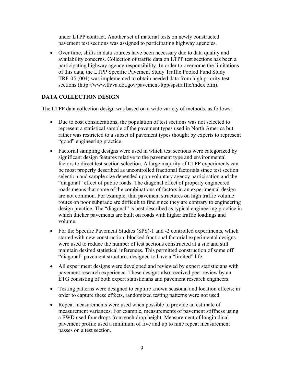under LTPP contract. Another set of material tests on newly constructed pavement test sections was assigned to participating highway agencies.

• Over time, shifts in data sources have been necessary due to data quality and availability concerns. Collection of traffic data on LTPP test sections has been a participating highway agency responsibility. In order to overcome the limitations of this data, the LTPP Specific Pavement Study Traffic Pooled Fund Study TRF-05 (004) was implemented to obtain needed data from high priority test sections (<http://www.fhwa.dot.gov/pavement/ltpp/spstraffic/index.cfm>).

# <span id="page-16-0"></span>**DATA COLLECTION DESIGN**

The LTPP data collection design was based on a wide variety of methods, as follows:

- Due to cost considerations, the population of test sections was not selected to represent a statistical sample of the pavement types used in North America but rather was restricted to a subset of pavement types thought by experts to represent "good" engineering practice.
- Factorial sampling designs were used in which test sections were categorized by significant design features relative to the pavement type and environmental factors to direct test section selection. A large majority of LTPP experiments can be most properly described as uncontrolled fractional factorials since test section selection and sample size depended upon voluntary agency participation and the "diagonal" effect of public roads. The diagonal effect of properly engineered roads means that some of the combinations of factors in an experimental design are not common. For example, thin pavement structures on high traffic volume routes on poor subgrade are difficult to find since they are contrary to engineering design practice. The "diagonal" is best described as typical engineering practice in which thicker pavements are built on roads with higher traffic loadings and volume.
- For the Specific Pavement Studies (SPS)-1 and -2 controlled experiments, which started with new construction, blocked fractional factorial experimental designs were used to reduce the number of test sections constructed at a site and still maintain desired statistical inferences. This permitted construction of some off "diagonal" pavement structures designed to have a "limited" life.
- All experiment designs were developed and reviewed by expert statisticians with pavement research experience. These designs also received peer review by an ETG consisting of both expert statisticians and pavement research engineers.
- Testing patterns were designed to capture known seasonal and location effects; in order to capture these effects, randomized testing patterns were not used.
- Repeat measurements were used when possible to provide an estimate of measurement variances. For example, measurements of pavement stiffness using a FWD used four drops from each drop height. Measurement of longitudinal pavement profile used a minimum of five and up to nine repeat measurement passes on a test section.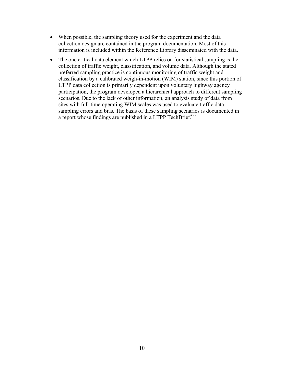- When possible, the sampling theory used for the experiment and the data collection design are contained in the program documentation. Most of this information is included within the Reference Library disseminated with the data.
- The one critical data element which LTPP relies on for statistical sampling is the collection of traffic weight, classification, and volume data. Although the stated preferred sampling practice is continuous monitoring of traffic weight and classification by a calibrated weigh-in-motion (WIM) station, since this portion of LTPP data collection is primarily dependent upon voluntary highway agency participation, the program developed a hierarchical approach to different sampling scenarios. Due to the lack of other information, an analysis study of data from sites with full-time operating WIM scales was used to evaluate traffic data sampling errors and bias. The basis of these sampling scenarios is documented in a report whose findings are published in a LTPP TechBrief.<sup>(2)</sup>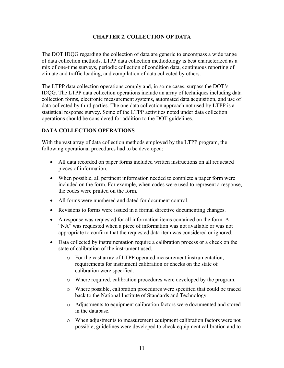# **CHAPTER 2. COLLECTION OF DATA**

<span id="page-18-0"></span>The DOT IDQG regarding the collection of data are generic to encompass a wide range of data collection methods. LTPP data collection methodology is best characterized as a mix of one-time surveys, periodic collection of condition data, continuous reporting of climate and traffic loading, and compilation of data collected by others.

The LTPP data collection operations comply and, in some cases, surpass the DOT's IDQG. The LTPP data collection operations include an array of techniques including data collection forms, electronic measurement systems, automated data acquisition, and use of data collected by third parties. The one data collection approach not used by LTPP is a statistical response survey. Some of the LTPP activities noted under data collection operations should be considered for addition to the DOT guidelines.

#### <span id="page-18-1"></span>**DATA COLLECTION OPERATIONS**

With the vast array of data collection methods employed by the LTPP program, the following operational procedures had to be developed:

- All data recorded on paper forms included written instructions on all requested pieces of information.
- When possible, all pertinent information needed to complete a paper form were included on the form. For example, when codes were used to represent a response, the codes were printed on the form.
- All forms were numbered and dated for document control.
- Revisions to forms were issued in a formal directive documenting changes.
- A response was requested for all information items contained on the form. A "NA" was requested when a piece of information was not available or was not appropriate to confirm that the requested data item was considered or ignored.
- Data collected by instrumentation require a calibration process or a check on the state of calibration of the instrument used.
	- o For the vast array of LTPP operated measurement instrumentation, requirements for instrument calibration or checks on the state of calibration were specified.
	- o Where required, calibration procedures were developed by the program.
	- o Where possible, calibration procedures were specified that could be traced back to the National Institute of Standards and Technology.
	- o Adjustments to equipment calibration factors were documented and stored in the database.
	- o When adjustments to measurement equipment calibration factors were not possible, guidelines were developed to check equipment calibration and to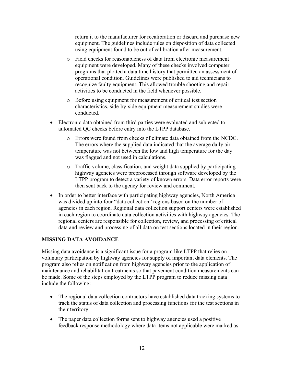return it to the manufacturer for recalibration or discard and purchase new equipment. The guidelines include rules on disposition of data collected using equipment found to be out of calibration after measurement.

- o Field checks for reasonableness of data from electronic measurement equipment were developed. Many of these checks involved computer programs that plotted a data time history that permitted an assessment of operational condition. Guidelines were published to aid technicians to recognize faulty equipment. This allowed trouble shooting and repair activities to be conducted in the field whenever possible.
- o Before using equipment for measurement of critical test section characteristics, side-by-side equipment measurement studies were conducted.
- Electronic data obtained from third parties were evaluated and subjected to automated QC checks before entry into the LTPP database.
	- o Errors were found from checks of climate data obtained from the NCDC. The errors where the supplied data indicated that the average daily air temperature was not between the low and high temperature for the day was flagged and not used in calculations.
	- o Traffic volume, classification, and weight data supplied by participating highway agencies were preprocessed through software developed by the LTPP program to detect a variety of known errors. Data error reports were then sent back to the agency for review and comment.
- In order to better interface with participating highway agencies, North America was divided up into four "data collection" regions based on the number of agencies in each region. Regional data collection support centers were established in each region to coordinate data collection activities with highway agencies. The regional centers are responsible for collection, review, and processing of critical data and review and processing of all data on test sections located in their region.

#### <span id="page-19-0"></span>**MISSING DATA AVOIDANCE**

Missing data avoidance is a significant issue for a program like LTPP that relies on voluntary participation by highway agencies for supply of important data elements. The program also relies on notification from highway agencies prior to the application of maintenance and rehabilitation treatments so that pavement condition measurements can be made. Some of the steps employed by the LTPP program to reduce missing data include the following:

- The regional data collection contractors have established data tracking systems to track the status of data collection and processing functions for the test sections in their territory.
- The paper data collection forms sent to highway agencies used a positive feedback response methodology where data items not applicable were marked as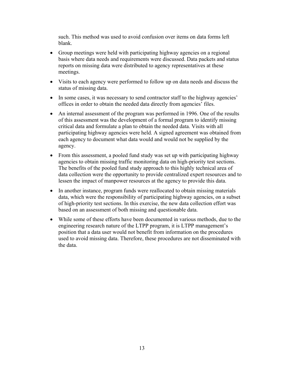such. This method was used to avoid confusion over items on data forms left blank.

- Group meetings were held with participating highway agencies on a regional basis where data needs and requirements were discussed. Data packets and status reports on missing data were distributed to agency representatives at these meetings.
- Visits to each agency were performed to follow up on data needs and discuss the status of missing data.
- In some cases, it was necessary to send contractor staff to the highway agencies' offices in order to obtain the needed data directly from agencies' files.
- An internal assessment of the program was performed in 1996. One of the results of this assessment was the development of a formal program to identify missing critical data and formulate a plan to obtain the needed data. Visits with all participating highway agencies were held. A signed agreement was obtained from each agency to document what data would and would not be supplied by the agency.
- From this assessment, a pooled fund study was set up with participating highway agencies to obtain missing traffic monitoring data on high-priority test sections. The benefits of the pooled fund study approach to this highly technical area of data collection were the opportunity to provide centralized expert resources and to lessen the impact of manpower resources at the agency to provide this data.
- In another instance, program funds were reallocated to obtain missing materials data, which were the responsibility of participating highway agencies, on a subset of high-priority test sections. In this exercise, the new data collection effort was based on an assessment of both missing and questionable data.
- While some of these efforts have been documented in various methods, due to the engineering research nature of the LTPP program, it is LTPP management's position that a data user would not benefit from information on the procedures used to avoid missing data. Therefore, these procedures are not disseminated with the data.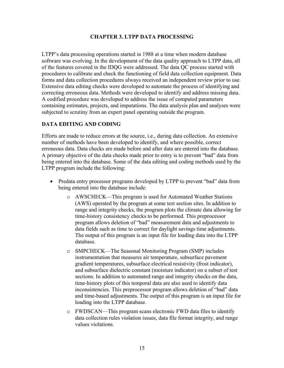#### **CHAPTER 3. LTPP DATA PROCESSING**

<span id="page-22-0"></span>LTPP's data processing operations started in 1988 at a time when modern database software was evolving. In the development of the data quality approach to LTPP data, all of the features covered in the IDQG were addressed. The data QC process started with procedures to calibrate and check the functioning of field data collection equipment. Data forms and data collection procedures always received an independent review prior to use. Extensive data editing checks were developed to automate the process of identifying and correcting erroneous data. Methods were developed to identify and address missing data. A codified procedure was developed to address the issue of computed parameters containing estimates, projects, and imputations. The data analysis plan and analyses were subjected to scrutiny from an expert panel operating outside the program.

#### <span id="page-22-1"></span>**DATA EDITING AND CODING**

Efforts are made to reduce errors at the source, i.e., during data collection. An extensive number of methods have been developed to identify, and where possible, correct erroneous data. Data checks are made before and after data are entered into the database. A primary objective of the data checks made prior to entry is to prevent "bad" data from being entered into the database. Some of the data editing and coding methods used by the LTPP program include the following:

- Predata entry processor programs developed by LTPP to prevent "bad" data from being entered into the database include:
	- o AWSCHECK—This program is used for Automated Weather Stations (AWS) operated by the program at some test section sites. In addition to range and integrity checks, the program plots the climate data allowing for time-history consistency checks to be performed. This preprocessor program allows deletion of "bad" measurement data and adjustments to data fields such as time to correct for daylight savings time adjustments. The output of this program is an input file for loading data into the LTPP database.
	- o SMPCHECK—The Seasonal Monitoring Program (SMP) includes instrumentation that measures air temperature, subsurface pavement gradient temperatures, subsurface electrical resistivity (frost indicator), and subsurface dielectric constant (moisture indicator) on a subset of test sections. In addition to automated range and integrity checks on the data, time-history plots of this temporal data are also used to identify data inconsistencies. This preprocessor program allows deletion of "bad" data and time-based adjustments. The output of this program is an input file for loading into the LTPP database.
	- o FWDSCAN—This program scans electronic FWD data files to identify data collection rules violation issues, data file format integrity, and range values violations.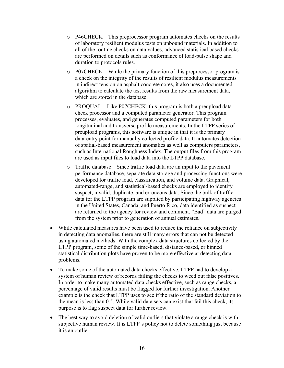- o P46CHECK—This preprocessor program automates checks on the results of laboratory resilient modulus tests on unbound materials. In addition to all of the routine checks on data values, advanced statistical based checks are performed on details such as conformance of load-pulse shape and duration to protocols rules.
- o P07CHECK—While the primary function of this preprocessor program is a check on the integrity of the results of resilient modulus measurements in indirect tension on asphalt concrete cores, it also uses a documented algorithm to calculate the test results from the raw measurement data, which are stored in the database.
- o PROQUAL—Like P07CHECK, this program is both a preupload data check processor and a computed parameter generator. This program processes, evaluates, and generates computed parameters for both longitudinal and transverse profile measurements. In the LTPP series of preupload programs, this software is unique in that it is the primary data-entry point for manually collected profile data. It automates detection of spatial-based measurement anomalies as well as computers parameters, such as International Roughness Index. The output files from this program are used as input files to load data into the LTPP database.
- o Traffic database—Since traffic load data are an input to the pavement performance database, separate data storage and processing functions were developed for traffic load, classification, and volume data. Graphical, automated-range, and statistical-based checks are employed to identify suspect, invalid, duplicate, and erroneous data. Since the bulk of traffic data for the LTPP program are supplied by participating highway agencies in the United States, Canada, and Puerto Rico, data identified as suspect are returned to the agency for review and comment. "Bad" data are purged from the system prior to generation of annual estimates.
- While calculated measures have been used to reduce the reliance on subjectivity in detecting data anomalies, there are still many errors that can not be detected using automated methods. With the complex data structures collected by the LTPP program, some of the simple time-based, distance-based, or binned statistical distribution plots have proven to be more effective at detecting data problems.
- To make some of the automated data checks effective, LTPP had to develop a system of human review of records failing the checks to weed out false positives. In order to make many automated data checks effective, such as range checks, a percentage of valid results must be flagged for further investigation. Another example is the check that LTPP uses to see if the ratio of the standard deviation to the mean is less than 0.5. While valid data sets can exist that fail this check, its purpose is to flag suspect data for further review.
- The best way to avoid deletion of valid outliers that violate a range check is with subjective human review. It is LTPP's policy not to delete something just because it is an outlier.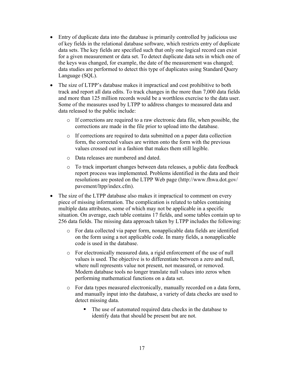- Entry of duplicate data into the database is primarily controlled by judicious use of key fields in the relational database software, which restricts entry of duplicate data sets. The key fields are specified such that only one logical record can exist for a given measurement or data set. To detect duplicate data sets in which one of the keys was changed, for example, the date of the measurement was changed; data studies are performed to detect this type of duplicates using Standard Query Language (SQL).
- The size of LTPP's database makes it impractical and cost prohibitive to both track and report all data edits. To track changes in the more than 7,000 data fields and more than 125 million records would be a worthless exercise to the data user. Some of the measures used by LTPP to address changes to measured data and data released to the public include:
	- o If corrections are required to a raw electronic data file, when possible, the corrections are made in the file prior to upload into the database.
	- o If corrections are required to data submitted on a paper data collection form, the corrected values are written onto the form with the previous values crossed out in a fashion that makes them still legible.
	- o Data releases are numbered and dated.
	- o To track important changes between data releases, a public data feedback report process was implemented. Problems identified in the data and their resolutions are posted on the LTPP Web page ([http://www.fhwa.dot.gov/](http://www.fhwa.dot.gov/pavement/ltpp/index.cfm)  [pavement/ltpp/index.cfm](http://www.fhwa.dot.gov/pavement/ltpp/index.cfm)).
- The size of the LTPP database also makes it impractical to comment on every piece of missing information. The complication is related to tables containing multiple data attributes, some of which may not be applicable in a specific situation. On average, each table contains 17 fields, and some tables contain up to 256 data fields. The missing data approach taken by LTPP includes the following:
	- o For data collected via paper form, nonapplicable data fields are identified on the form using a not applicable code. In many fields, a nonapplicable code is used in the database.
	- o For electronically measured data, a rigid enforcement of the use of null values is used. The objective is to differentiate between a zero and null, where null represents value not present, not measured, or removed. Modern database tools no longer translate null values into zeros when performing mathematical functions on a data set.
	- o For data types measured electronically, manually recorded on a data form, and manually input into the database, a variety of data checks are used to detect missing data.
		- The use of automated required data checks in the database to identify data that should be present but are not.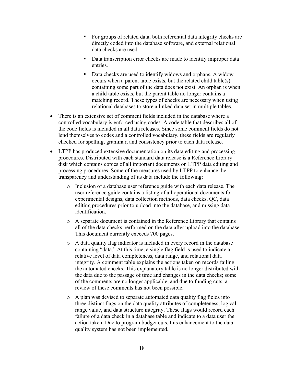- For groups of related data, both referential data integrity checks are directly coded into the database software, and external relational data checks are used.
- Data transcription error checks are made to identify improper data entries.
- Data checks are used to identify widows and orphans. A widow occurs when a parent table exists, but the related child table(s) containing some part of the data does not exist. An orphan is when a child table exists, but the parent table no longer contains a matching record. These types of checks are necessary when using relational databases to store a linked data set in multiple tables.
- There is an extensive set of comment fields included in the database where a controlled vocabulary is enforced using codes. A code table that describes all of the code fields is included in all data releases. Since some comment fields do not lend themselves to codes and a controlled vocabulary, these fields are regularly checked for spelling, grammar, and consistency prior to each data release.
- LTPP has produced extensive documentation on its data editing and processing procedures. Distributed with each standard data release is a Reference Library disk which contains copies of all important documents on LTPP data editing and processing procedures. Some of the measures used by LTPP to enhance the transparency and understanding of its data include the following:
	- o Inclusion of a database user reference guide with each data release. The user reference guide contains a listing of all operational documents for experimental designs, data collection methods, data checks, QC, data editing procedures prior to upload into the database, and missing data identification.
	- o A separate document is contained in the Reference Library that contains all of the data checks performed on the data after upload into the database. This document currently exceeds 700 pages.
	- o A data quality flag indicator is included in every record in the database containing "data." At this time, a single flag field is used to indicate a relative level of data completeness, data range, and relational data integrity. A comment table explains the actions taken on records failing the automated checks. This explanatory table is no longer distributed with the data due to the passage of time and changes in the data checks; some of the comments are no longer applicable, and due to funding cuts, a review of these comments has not been possible.
	- o A plan was devised to separate automated data quality flag fields into three distinct flags on the data quality attributes of completeness, logical range value, and data structure integrity. These flags would record each failure of a data check in a database table and indicate to a data user the action taken. Due to program budget cuts, this enhancement to the data quality system has not been implemented.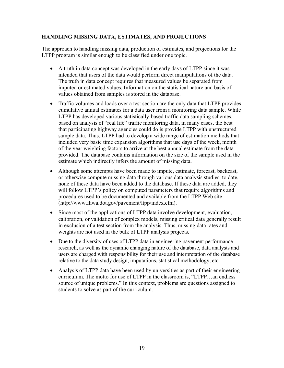#### <span id="page-26-0"></span>**HANDLING MISSING DATA, ESTIMATES, AND PROJECTIONS**

The approach to handling missing data, production of estimates, and projections for the LTPP program is similar enough to be classified under one topic.

- A truth in data concept was developed in the early days of LTPP since it was intended that users of the data would perform direct manipulations of the data. The truth in data concept requires that measured values be separated from imputed or estimated values. Information on the statistical nature and basis of values obtained from samples is stored in the database.
- Traffic volumes and loads over a test section are the only data that LTPP provides cumulative annual estimates for a data user from a monitoring data sample. While LTPP has developed various statistically-based traffic data sampling schemes, based on analysis of "real life" traffic monitoring data, in many cases, the best that participating highway agencies could do is provide LTPP with unstructured sample data. Thus, LTPP had to develop a wide range of estimation methods that included very basic time expansion algorithms that use days of the week, month of the year weighting factors to arrive at the best annual estimate from the data provided. The database contains information on the size of the sample used in the estimate which indirectly infers the amount of missing data.
- Although some attempts have been made to impute, estimate, forecast, backcast, or otherwise compute missing data through various data analysis studies, to date, none of these data have been added to the database. If these data are added, they will follow LTPP's policy on computed parameters that require algorithms and procedures used to be documented and available from the LTPP Web site ([http://www.fhwa.dot.gov/pavement/ltpp/index.cfm\)](http://www.fhwa.dot.gov/pavement/ltpp/index.cfm).
- Since most of the applications of LTPP data involve development, evaluation, calibration, or validation of complex models, missing critical data generally result in exclusion of a test section from the analysis. Thus, missing data rates and weights are not used in the bulk of LTPP analysis projects.
- Due to the diversity of uses of LTPP data in engineering pavement performance research, as well as the dynamic changing nature of the database, data analysts and users are charged with responsibility for their use and interpretation of the database relative to the data study design, imputations, statistical methodology, etc.
- Analysis of LTPP data have been used by universities as part of their engineering curriculum. The motto for use of LTPP in the classroom is, "LTPP…an endless source of unique problems." In this context, problems are questions assigned to students to solve as part of the curriculum.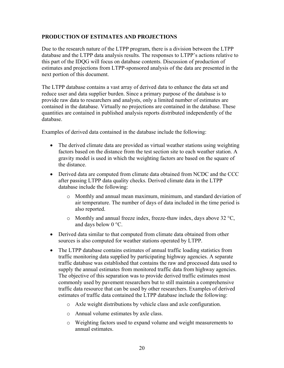#### **PRODUCTION OF ESTIMATES AND PROJECTIONS**

Due to the research nature of the LTPP program, there is a division between the LTPP database and the LTPP data analysis results. The responses to LTPP's actions relative to this part of the IDQG will focus on database contents. Discussion of production of estimates and projections from LTPP-sponsored analysis of the data are presented in the next portion of this document.

The LTPP database contains a vast array of derived data to enhance the data set and reduce user and data supplier burden. Since a primary purpose of the database is to provide raw data to researchers and analysts, only a limited number of estimates are contained in the database. Virtually no projections are contained in the database. These quantities are contained in published analysis reports distributed independently of the database.

Examples of derived data contained in the database include the following:

- The derived climate data are provided as virtual weather stations using weighting factors based on the distance from the test section site to each weather station. A gravity model is used in which the weighting factors are based on the square of the distance.
- Derived data are computed from climate data obtained from NCDC and the CCC after passing LTPP data quality checks. Derived climate data in the LTPP database include the following:
	- o Monthly and annual mean maximum, minimum, and standard deviation of air temperature. The number of days of data included in the time period is also reported.
	- o Monthly and annual freeze index, freeze-thaw index, days above 32 °C, and days below 0 °C.
- Derived data similar to that computed from climate data obtained from other sources is also computed for weather stations operated by LTPP.
- <span id="page-27-0"></span>• The LTPP database contains estimates of annual traffic loading statistics from traffic monitoring data supplied by participating highway agencies. A separate traffic database was established that contains the raw and processed data used to supply the annual estimates from monitored traffic data from highway agencies. The objective of this separation was to provide derived traffic estimates most commonly used by pavement researchers but to still maintain a comprehensive traffic data resource that can be used by other researchers. Examples of derived estimates of traffic data contained the LTPP database include the following:
	- o Axle weight distributions by vehicle class and axle configuration.
	- o Annual volume estimates by axle class.
	- o Weighting factors used to expand volume and weight measurements to annual estimates.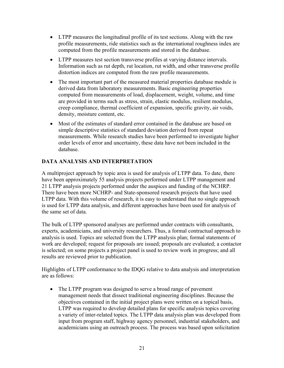- LTPP measures the longitudinal profile of its test sections. Along with the raw profile measurements, ride statistics such as the international roughness index are computed from the profile measurements and stored in the database.
- LTPP measures test section transverse profiles at varying distance intervals. Information such as rut depth, rut location, rut width, and other transverse profile distortion indices are computed from the raw profile measurements.
- The most important part of the measured material properties database module is derived data from laboratory measurements. Basic engineering properties computed from measurements of load, displacement, weight, volume, and time are provided in terms such as stress, strain, elastic modulus, resilient modulus, creep compliance, thermal coefficient of expansion, specific gravity, air voids, density, moisture content, etc.
- Most of the estimates of standard error contained in the database are based on simple descriptive statistics of standard deviation derived from repeat measurements. While research studies have been performed to investigate higher order levels of error and uncertainty, these data have not been included in the database.

# <span id="page-28-0"></span>**DATA ANALYSIS AND INTERPRETATION**

A multiproject approach by topic area is used for analysis of LTPP data. To date, there have been approximately 55 analysis projects performed under LTPP management and 21 LTPP analysis projects performed under the auspices and funding of the NCHRP. There have been more NCHRP- and State-sponsored research projects that have used LTPP data. With this volume of research, it is easy to understand that no single approach is used for LTPP data analysis, and different approaches have been used for analysis of the same set of data.

The bulk of LTPP sponsored analyses are performed under contracts with consultants, experts, academicians, and university researchers. Thus, a formal contractual approach to analysis is used. Topics are selected from the LTPP analysis plan; formal statements of work are developed; request for proposals are issued; proposals are evaluated; a contactor is selected; on some projects a project panel is used to review work in progress; and all results are reviewed prior to publication.

Highlights of LTPP conformance to the IDQG relative to data analysis and interpretation are as follows:

• The LTPP program was designed to serve a broad range of pavement management needs that dissect traditional engineering disciplines. Because the objectives contained in the initial project plans were written on a topical basis, LTPP was required to develop detailed plans for specific analysis topics covering a variety of inter-related topics. The LTPP data analysis plan was developed from input from program staff, highway agency personnel, industrial stakeholders, and academicians using an outreach process. The process was based upon solicitation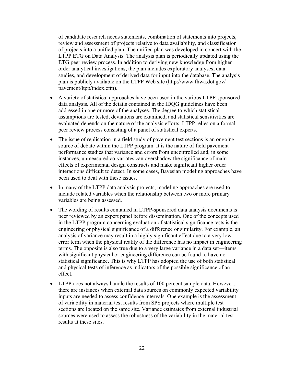of candidate research needs statements, combination of statements into projects, review and assessment of projects relative to data availability, and classification of projects into a unified plan. The unified plan was developed in concert with the LTPP ETG on Data Analysis. The analysis plan is periodically updated using the ETG peer review process. In addition to deriving new knowledge from higher order analytical investigations, the plan includes exploratory analyses, data studies, and development of derived data for input into the database. The analysis plan is publicly available on the LTPP Web site [\(http://www.fhwa.dot.gov/](http://www.fhwa.dot.gov/pavement/ltpp/index.cfm)  [pavement/ltpp/index.cfm](http://www.fhwa.dot.gov/pavement/ltpp/index.cfm)).

- A variety of statistical approaches have been used in the various LTPP-sponsored data analysis. All of the details contained in the IDQG guidelines have been addressed in one or more of the analyses. The degree to which statistical assumptions are tested, deviations are examined, and statistical sensitivities are evaluated depends on the nature of the analysis efforts. LTPP relies on a formal peer review process consisting of a panel of statistical experts.
- The issue of replication in a field study of pavement test sections is an ongoing source of debate within the LTPP program. It is the nature of field pavement performance studies that variance and errors from uncontrolled and, in some instances, unmeasured co-variates can overshadow the significance of main effects of experimental design constructs and make significant higher order interactions difficult to detect. In some cases, Bayesian modeling approaches have been used to deal with these issues.
- In many of the LTPP data analysis projects, modeling approaches are used to include related variables when the relationship between two or more primary variables are being assessed.
- The wording of results contained in LTPP-sponsored data analysis documents is peer reviewed by an expert panel before dissemination. One of the concepts used in the LTPP program concerning evaluation of statistical significance tests is the engineering or physical significance of a difference or similarity. For example, an analysis of variance may result in a highly significant effect due to a very low error term when the physical reality of the difference has no impact in engineering terms. The opposite is also true due to a very large variance in a data set—items with significant physical or engineering difference can be found to have no statistical significance. This is why LTPP has adopted the use of both statistical and physical tests of inference as indicators of the possible significance of an effect.
- LTPP does not always handle the results of 100 percent sample data. However, there are instances when external data sources on commonly expected variability inputs are needed to assess confidence intervals. One example is the assessment of variability in material test results from SPS projects where multiple test sections are located on the same site. Variance estimates from external industrial sources were used to assess the robustness of the variability in the material test results at these sites.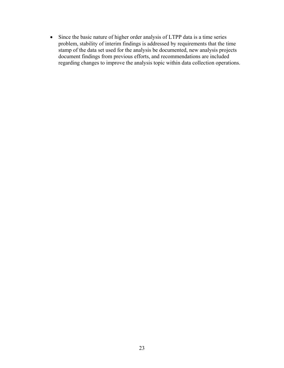• Since the basic nature of higher order analysis of LTPP data is a time series problem, stability of interim findings is addressed by requirements that the time stamp of the data set used for the analysis be documented, new analysis projects document findings from previous efforts, and recommendations are included regarding changes to improve the analysis topic within data collection operations.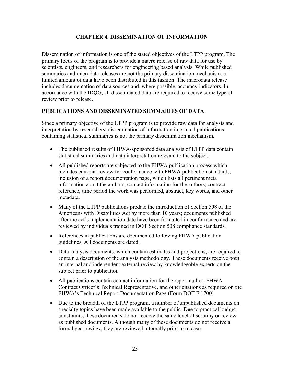#### **CHAPTER 4. DISSEMINATION OF INFORMATION**

<span id="page-32-0"></span>Dissemination of information is one of the stated objectives of the LTPP program. The primary focus of the program is to provide a macro release of raw data for use by scientists, engineers, and researchers for engineering based analysis. While published summaries and microdata releases are not the primary dissemination mechanism, a limited amount of data have been distributed in this fashion. The macrodata release includes documentation of data sources and, where possible, accuracy indicators. In accordance with the IDQG, all disseminated data are required to receive some type of review prior to release.

## <span id="page-32-1"></span>**PUBLICATIONS AND DISSEMINATED SUMMARIES OF DATA**

Since a primary objective of the LTPP program is to provide raw data for analysis and interpretation by researchers, dissemination of information in printed publications containing statistical summaries is not the primary dissemination mechanism.

- The published results of FHWA-sponsored data analysis of LTPP data contain statistical summaries and data interpretation relevant to the subject.
- All published reports are subjected to the FHWA publication process which includes editorial review for conformance with FHWA publication standards, inclusion of a report documentation page, which lists all pertinent meta information about the authors, contact information for the authors, contract reference, time period the work was performed, abstract, key words, and other metadata.
- Many of the LTPP publications predate the introduction of Section 508 of the Americans with Disabilities Act by more than 10 years; documents published after the act's implementation date have been formatted in conformance and are reviewed by individuals trained in DOT Section 508 compliance standards.
- References in publications are documented following FHWA publication guidelines. All documents are dated.
- Data analysis documents, which contain estimates and projections, are required to contain a description of the analysis methodology. These documents receive both an internal and independent external review by knowledgeable experts on the subject prior to publication.
- All publications contain contact information for the report author, FHWA Contract Officer's Technical Representative, and other citations as required on the FHWA's Technical Report Documentation Page (Form DOT F 1700).
- Due to the breadth of the LTPP program, a number of unpublished documents on specialty topics have been made available to the public. Due to practical budget constraints, these documents do not receive the same level of scrutiny or review as published documents. Although many of these documents do not receive a formal peer review, they are reviewed internally prior to release.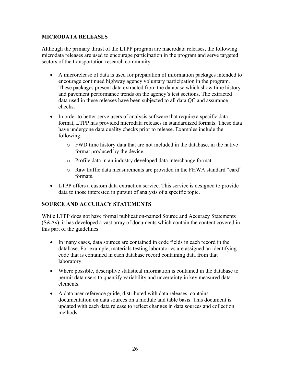#### <span id="page-33-0"></span>**MICRODATA RELEASES**

Although the primary thrust of the LTPP program are macrodata releases, the following microdata releases are used to encourage participation in the program and serve targeted sectors of the transportation research community:

- A microrelease of data is used for preparation of information packages intended to encourage continued highway agency voluntary participation in the program. These packages present data extracted from the database which show time history and pavement performance trends on the agency's test sections. The extracted data used in these releases have been subjected to all data QC and assurance checks.
- In order to better serve users of analysis software that require a specific data format, LTPP has provided microdata releases in standardized formats. These data have undergone data quality checks prior to release. Examples include the following:
	- o FWD time history data that are not included in the database, in the native format produced by the device.
	- o Profile data in an industry developed data interchange format.
	- o Raw traffic data measurements are provided in the FHWA standard "card" formats.
- LTPP offers a custom data extraction service. This service is designed to provide data to those interested in pursuit of analysis of a specific topic.

# <span id="page-33-1"></span>**SOURCE AND ACCURACY STATEMENTS**

While LTPP does not have formal publication-named Source and Accuracy Statements (S&As), it has developed a vast array of documents which contain the content covered in this part of the guidelines.

- In many cases, data sources are contained in code fields in each record in the database. For example, materials testing laboratories are assigned an identifying code that is contained in each database record containing data from that laboratory.
- Where possible, descriptive statistical information is contained in the database to permit data users to quantify variability and uncertainty in key measured data elements.
- A data user reference guide, distributed with data releases, contains documentation on data sources on a module and table basis. This document is updated with each data release to reflect changes in data sources and collection methods.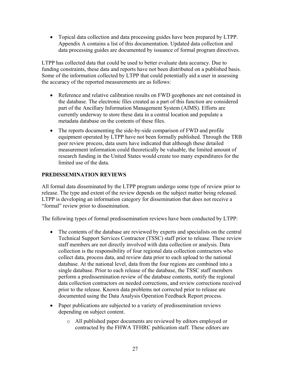• Topical data collection and data processing guides have been prepared by LTPP. Appendix A contains a list of this documentation. Updated data collection and data processing guides are documented by issuance of formal program directives.

LTPP has collected data that could be used to better evaluate data accuracy. Due to funding constraints, these data and reports have not been distributed on a published basis. Some of the information collected by LTPP that could potentially aid a user in assessing the accuracy of the reported measurements are as follows:

- Reference and relative calibration results on FWD geophones are not contained in the database. The electronic files created as a part of this function are considered part of the Ancillary Information Management System (AIMS). Efforts are currently underway to store these data in a central location and populate a metadata database on the contents of these files.
- The reports documenting the side-by-side comparison of FWD and profile equipment operated by LTPP have not been formally published. Through the TRB peer review process, data users have indicated that although these detailed measurement information could theoretically be valuable, the limited amount of research funding in the United States would create too many expenditures for the limited use of the data.

# <span id="page-34-0"></span>**PREDISSEMINATION REVIEWS**

All formal data disseminated by the LTPP program undergo some type of review prior to release. The type and extent of the review depends on the subject matter being released. LTPP is developing an information category for dissemination that does not receive a "formal" review prior to dissemination.

The following types of formal predissemination reviews have been conducted by LTPP:

- The contents of the database are reviewed by experts and specialists on the central Technical Support Services Contractor (TSSC) staff prior to release. These review staff members are not directly involved with data collection or analysis. Data collection is the responsibility of four regional data collection contractors who collect data, process data, and review data prior to each upload to the national database. At the national level, data from the four regions are combined into a single database. Prior to each release of the database, the TSSC staff members perform a predissemination review of the database contents, notify the regional data collection contractors on needed corrections, and review corrections received prior to the release. Known data problems not corrected prior to release are documented using the Data Analysis Operation Feedback Report process.
- Paper publications are subjected to a variety of predissemination reviews depending on subject content.
	- o All published paper documents are reviewed by editors employed or contracted by the FHWA TFHRC publication staff. These editors are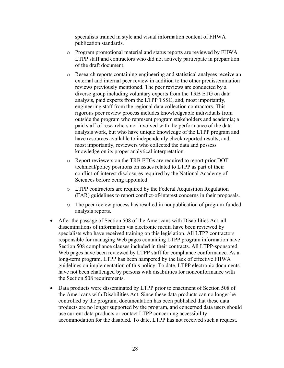specialists trained in style and visual information content of FHWA publication standards.

- o Program promotional material and status reports are reviewed by FHWA LTPP staff and contractors who did not actively participate in preparation of the draft document.
- o Research reports containing engineering and statistical analyses receive an external and internal peer review in addition to the other predissemination reviews previously mentioned. The peer reviews are conducted by a diverse group including voluntary experts from the TRB ETG on data analysis, paid experts from the LTPP TSSC, and, most importantly, engineering staff from the regional data collection contractors. This rigorous peer review process includes knowledgeable individuals from outside the program who represent program stakeholders and academia; a paid staff of researchers not involved with the performance of the data analysis work, but who have unique knowledge of the LTPP program and have resources available to independently check reported results; and, most importantly, reviewers who collected the data and possess knowledge on its proper analytical interpretation.
- o Report reviewers on the TRB ETGs are required to report prior DOT technical/policy positions on issues related to LTPP as part of their conflict-of-interest disclosures required by the National Academy of Sciences before being appointed.
- o LTPP contractors are required by the Federal Acquisition Regulation (FAR) guidelines to report conflict-of-interest concerns in their proposals.
- o The peer review process has resulted in nonpublication of program-funded analysis reports.
- After the passage of Section 508 of the Americans with Disabilities Act, all disseminations of information via electronic media have been reviewed by specialists who have received training on this legislation. All LTPP contractors responsible for managing Web pages containing LTPP program information have Section 508 compliance clauses included in their contracts. All LTPP-sponsored Web pages have been reviewed by LTPP staff for compliance conformance. As a long-term program, LTPP has been hampered by the lack of effective FHWA guidelines on implementation of this policy. To date, LTPP electronic documents have not been challenged by persons with disabilities for nonconformance with the Section 508 requirements.
- Data products were disseminated by LTPP prior to enactment of Section 508 of the Americans with Disabilities Act. Since these data products can no longer be controlled by the program, documentation has been published that these data products are no longer supported by the program, and concerned data users should use current data products or contact LTPP concerning accessibility accommodation for the disabled. To date, LTPP has not received such a request.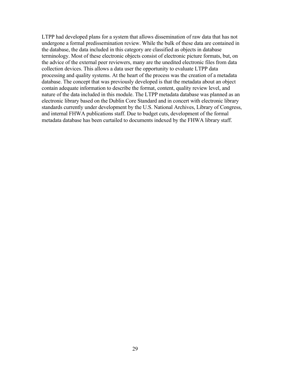LTPP had developed plans for a system that allows dissemination of raw data that has not undergone a formal predissemination review. While the bulk of these data are contained in the database, the data included in this category are classified as objects in database terminology. Most of these electronic objects consist of electronic picture formats, but, on the advice of the external peer reviewers, many are the unedited electronic files from data collection devices. This allows a data user the opportunity to evaluate LTPP data processing and quality systems. At the heart of the process was the creation of a metadata database. The concept that was previously developed is that the metadata about an object contain adequate information to describe the format, content, quality review level, and nature of the data included in this module. The LTPP metadata database was planned as an electronic library based on the Dublin Core Standard and in concert with electronic library standards currently under development by the U.S. National Archives, Library of Congress, and internal FHWA publications staff. Due to budget cuts, development of the formal metadata database has been curtailed to documents indexed by the FHWA library staff.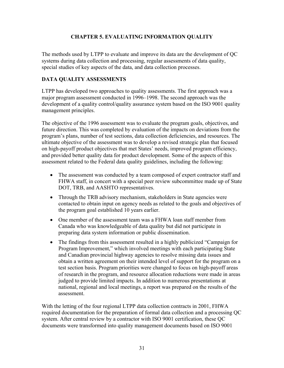## **CHAPTER 5. EVALUATING INFORMATION QUALITY**

The methods used by LTPP to evaluate and improve its data are the development of QC systems during data collection and processing, regular assessments of data quality, special studies of key aspects of the data, and data collection processes.

### **DATA QUALITY ASSESSMENTS**

LTPP has developed two approaches to quality assessments. The first approach was a major program assessment conducted in 1996–1998. The second approach was the development of a quality control/quality assurance system based on the ISO 9001 quality management principles.

The objective of the 1996 assessment was to evaluate the program goals, objectives, and future direction. This was completed by evaluation of the impacts on deviations from the program's plans, number of test sections, data collection deficiencies, and resources. The ultimate objective of the assessment was to develop a revised strategic plan that focused on high-payoff product objectives that met States' needs, improved program efficiency, and provided better quality data for product development. Some of the aspects of this assessment related to the Federal data quality guidelines, including the following:

- The assessment was conducted by a team composed of expert contractor staff and FHWA staff, in concert with a special peer review subcommittee made up of State DOT, TRB, and AASHTO representatives.
- Through the TRB advisory mechanism, stakeholders in State agencies were contacted to obtain input on agency needs as related to the goals and objectives of the program goal established 10 years earlier.
- One member of the assessment team was a FHWA loan staff member from Canada who was knowledgeable of data quality but did not participate in preparing data system information or public dissemination.
- The findings from this assessment resulted in a highly publicized "Campaign for Program Improvement," which involved meetings with each participating State and Canadian provincial highway agencies to resolve missing data issues and obtain a written agreement on their intended level of support for the program on a test section basis. Program priorities were changed to focus on high-payoff areas of research in the program, and resource allocation reductions were made in areas judged to provide limited impacts. In addition to numerous presentations at national, regional and local meetings, a report was prepared on the results of the assessment.

With the letting of the four regional LTPP data collection contracts in 2001, FHWA required documentation for the preparation of formal data collection and a processing QC system. After central review by a contractor with ISO 9001 certification, these QC documents were transformed into quality management documents based on ISO 9001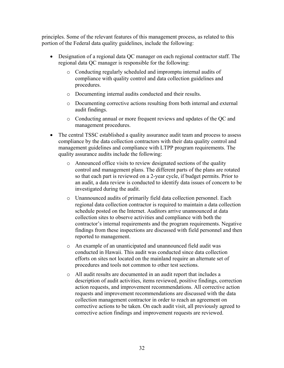principles. Some of the relevant features of this management process, as related to this portion of the Federal data quality guidelines, include the following:

- Designation of a regional data QC manager on each regional contractor staff. The regional data QC manager is responsible for the following:
	- o Conducting regularly scheduled and impromptu internal audits of compliance with quality control and data collection guidelines and procedures.
	- o Documenting internal audits conducted and their results.
	- o Documenting corrective actions resulting from both internal and external audit findings.
	- o Conducting annual or more frequent reviews and updates of the QC and management procedures.
- The central TSSC established a quality assurance audit team and process to assess compliance by the data collection contractors with their data quality control and management guidelines and compliance with LTPP program requirements. The quality assurance audits include the following:
	- o Announced office visits to review designated sections of the quality control and management plans. The different parts of the plans are rotated so that each part is reviewed on a 2-year cycle, if budget permits. Prior to an audit, a data review is conducted to identify data issues of concern to be investigated during the audit.
	- o Unannounced audits of primarily field data collection personnel. Each regional data collection contractor is required to maintain a data collection schedule posted on the Internet. Auditors arrive unannounced at data collection sites to observe activities and compliance with both the contractor's internal requirements and the program requirements. Negative findings from these inspections are discussed with field personnel and then reported to management.
	- o An example of an unanticipated and unannounced field audit was conducted in Hawaii. This audit was conducted since data collection efforts on sites not located on the mainland require an alternate set of procedures and tools not common to other test sections.
	- o All audit results are documented in an audit report that includes a description of audit activities, items reviewed, positive findings, correction action requests, and improvement recommendations. All corrective action requests and improvement recommendations are discussed with the data collection management contractor in order to reach an agreement on corrective actions to be taken. On each audit visit, all previously agreed to corrective action findings and improvement requests are reviewed.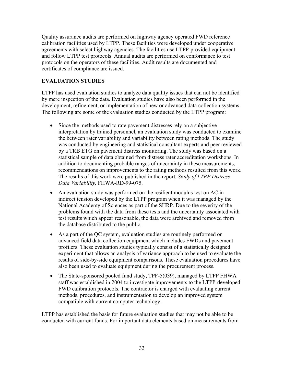Quality assurance audits are performed on highway agency operated FWD reference calibration facilities used by LTPP. These facilities were developed under cooperative agreements with select highway agencies. The facilities use LTPP-provided equipment and follow LTPP test protocols. Annual audits are performed on conformance to test protocols on the operators of these facilities. Audit results are documented and certificates of compliance are issued.

# **EVALUATION STUDIES**

LTPP has used evaluation studies to analyze data quality issues that can not be identified by mere inspection of the data. Evaluation studies have also been performed in the development, refinement, or implementation of new or advanced data collection systems. The following are some of the evaluation studies conducted by the LTPP program:

- Since the methods used to rate pavement distresses rely on a subjective interpretation by trained personnel, an evaluation study was conducted to examine the between rater variability and variability between rating methods. The study was conducted by engineering and statistical consultant experts and peer reviewed by a TRB ETG on pavement distress monitoring. The study was based on a statistical sample of data obtained from distress rater accreditation workshops. In addition to documenting probable ranges of uncertainty in these measurements, recommendations on improvements to the rating methods resulted from this work. The results of this work were published in the report, *Study of LTPP Distress Data Variability,* FHWA-RD-99-075.
- An evaluation study was performed on the resilient modulus test on AC in indirect tension developed by the LTPP program when it was managed by the National Academy of Sciences as part of the SHRP. Due to the severity of the problems found with the data from these tests and the uncertainty associated with test results which appear reasonable, the data were archived and removed from the database distributed to the public.
- As a part of the QC system, evaluation studies are routinely performed on advanced field data collection equipment which includes FWDs and pavement profilers. These evaluation studies typically consist of a statistically designed experiment that allows an analysis of variance approach to be used to evaluate the results of side-by-side equipment comparisons. These evaluation procedures have also been used to evaluate equipment during the procurement process.
- The State-sponsored pooled fund study, TPF-5(039), managed by LTPP FHWA staff was established in 2004 to investigate improvements to the LTPP-developed FWD calibration protocols. The contractor is charged with evaluating current methods, procedures, and instrumentation to develop an improved system compatible with current computer technology.

LTPP has established the basis for future evaluation studies that may not be able to be conducted with current funds. For important data elements based on measurements from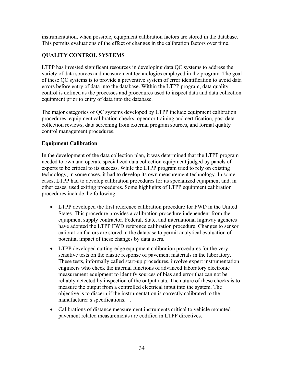instrumentation, when possible, equipment calibration factors are stored in the database. This permits evaluations of the effect of changes in the calibration factors over time.

# **QUALITY CONTROL SYSTEMS**

LTPP has invested significant resources in developing data QC systems to address the variety of data sources and measurement technologies employed in the program. The goal of these QC systems is to provide a preventive system of error identification to avoid data errors before entry of data into the database. Within the LTPP program, data quality control is defined as the processes and procedures used to inspect data and data collection equipment prior to entry of data into the database.

The major categories of QC systems developed by LTPP include equipment calibration procedures, equipment calibration checks, operator training and certification, post data collection reviews, data screening from external program sources, and formal quality control management procedures.

## **Equipment Calibration**

In the development of the data collection plan, it was determined that the LTPP program needed to own and operate specialized data collection equipment judged by panels of experts to be critical to its success. While the LTPP program tried to rely on existing technology, in some cases, it had to develop its own measurement technology. In some cases, LTPP had to develop calibration procedures for its specialized equipment and, in other cases, used exiting procedures. Some highlights of LTPP equipment calibration procedures include the following:

- LTPP developed the first reference calibration procedure for FWD in the United States. This procedure provides a calibration procedure independent from the equipment supply contractor. Federal, State, and international highway agencies have adopted the LTPP FWD reference calibration procedure. Changes to sensor calibration factors are stored in the database to permit analytical evaluation of potential impact of these changes by data users.
- LTPP developed cutting-edge equipment calibration procedures for the very sensitive tests on the elastic response of pavement materials in the laboratory. These tests, informally called start-up procedures, involve expert instrumentation engineers who check the internal functions of advanced laboratory electronic measurement equipment to identify sources of bias and error that can not be reliably detected by inspection of the output data. The nature of these checks is to measure the output from a controlled electrical input into the system. The objective is to discern if the instrumentation is correctly calibrated to the manufacturer's specifications. .
- Calibrations of distance measurement instruments critical to vehicle mounted pavement related measurements are codified in LTPP directives.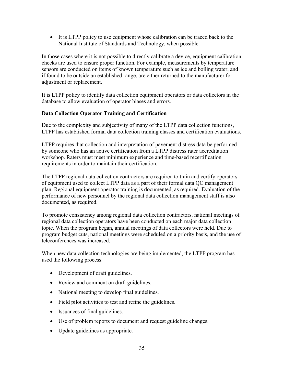• It is LTPP policy to use equipment whose calibration can be traced back to the National Institute of Standards and Technology, when possible.

In those cases where it is not possible to directly calibrate a device, equipment calibration checks are used to ensure proper function. For example, measurements by temperature sensors are conducted on items of known temperature such as ice and boiling water, and if found to be outside an established range, are either returned to the manufacturer for adjustment or replacement.

It is LTPP policy to identify data collection equipment operators or data collectors in the database to allow evaluation of operator biases and errors.

# **Data Collection Operator Training and Certification**

Due to the complexity and subjectivity of many of the LTPP data collection functions, LTPP has established formal data collection training classes and certification evaluations.

LTPP requires that collection and interpretation of pavement distress data be performed by someone who has an active certification from a LTPP distress rater accreditation workshop. Raters must meet minimum experience and time-based recertification requirements in order to maintain their certification.

The LTPP regional data collection contractors are required to train and certify operators of equipment used to collect LTPP data as a part of their formal data QC management plan. Regional equipment operator training is documented, as required. Evaluation of the performance of new personnel by the regional data collection management staff is also documented, as required.

To promote consistency among regional data collection contractors, national meetings of regional data collection operators have been conducted on each major data collection topic. When the program began, annual meetings of data collectors were held. Due to program budget cuts, national meetings were scheduled on a priority basis, and the use of teleconferences was increased.

When new data collection technologies are being implemented, the LTPP program has used the following process:

- Development of draft guidelines.
- Review and comment on draft guidelines.
- National meeting to develop final guidelines.
- Field pilot activities to test and refine the guidelines.
- Issuances of final guidelines.
- Use of problem reports to document and request guideline changes.
- Update guidelines as appropriate.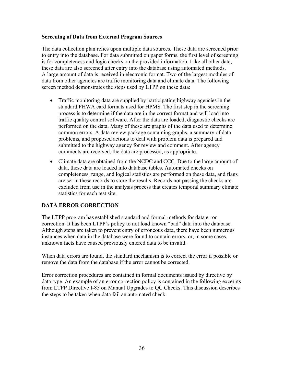#### **Screening of Data from External Program Sources**

The data collection plan relies upon multiple data sources. These data are screened prior to entry into the database. For data submitted on paper forms, the first level of screening is for completeness and logic checks on the provided information. Like all other data, these data are also screened after entry into the database using automated methods. A large amount of data is received in electronic format. Two of the largest modules of data from other agencies are traffic monitoring data and climate data. The following screen method demonstrates the steps used by LTPP on these data:

- Traffic monitoring data are supplied by participating highway agencies in the standard FHWA card formats used for HPMS. The first step in the screening process is to determine if the data are in the correct format and will load into traffic quality control software. After the data are loaded, diagnostic checks are performed on the data. Many of these are graphs of the data used to determine common errors. A data review package containing graphs, a summary of data problems, and proposed actions to deal with problem data is prepared and submitted to the highway agency for review and comment. After agency comments are received, the data are processed, as appropriate.
- Climate data are obtained from the NCDC and CCC. Due to the large amount of data, these data are loaded into database tables. Automated checks on completeness, range, and logical statistics are performed on these data, and flags are set in these records to store the results. Records not passing the checks are excluded from use in the analysis process that creates temporal summary climate statistics for each test site.

# **DATA ERROR CORRECTION**

The LTPP program has established standard and formal methods for data error correction. It has been LTPP's policy to not load known "bad" data into the database. Although steps are taken to prevent entry of erroneous data, there have been numerous instances when data in the database were found to contain errors, or, in some cases, unknown facts have caused previously entered data to be invalid.

When data errors are found, the standard mechanism is to correct the error if possible or remove the data from the database if the error cannot be corrected.

Error correction procedures are contained in formal documents issued by directive by data type. An example of an error correction policy is contained in the following excerpts from LTPP Directive I-85 on Manual Upgrades to QC Checks. This discussion describes the steps to be taken when data fail an automated check.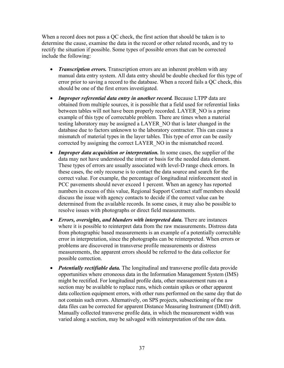When a record does not pass a QC check, the first action that should be taken is to determine the cause, examine the data in the record or other related records, and try to rectify the situation if possible. Some types of possible errors that can be corrected include the following:

- *Transcription errors*. Transcription errors are an inherent problem with any manual data entry system. All data entry should be double checked for this type of error prior to saving a record to the database. When a record fails a QC check, this should be one of the first errors investigated.
- *Improper referential data entry in another record.* Because LTPP data are obtained from multiple sources, it is possible that a field used for referential links between tables will not have been properly recorded. LAYER\_NO is a prime example of this type of correctable problem. There are times when a material testing laboratory may be assigned a LAYER\_NO that is later changed in the database due to factors unknown to the laboratory contractor. This can cause a mismatch of material types in the layer tables. This type of error can be easily corrected by assigning the correct LAYER\_NO in the mismatched record.
- *Improper data acquisition or interpretation.* In some cases, the supplier of the data may not have understood the intent or basis for the needed data element. These types of errors are usually associated with level-D range check errors. In these cases, the only recourse is to contact the data source and search for the correct value. For example, the percentage of longitudinal reinforcement steel in PCC pavements should never exceed 1 percent. When an agency has reported numbers in excess of this value, Regional Support Contract staff members should discuss the issue with agency contacts to decide if the correct value can be determined from the available records. In some cases, it may also be possible to resolve issues with photographs or direct field measurements.
- *Errors, oversights, and blunders with interpreted data.* There are instances where it is possible to reinterpret data from the raw measurements. Distress data from photographic based measurements is an example of a potentially correctable error in interpretation, since the photographs can be reinterpreted. When errors or problems are discovered in transverse profile measurements or distress measurements, the apparent errors should be referred to the data collector for possible correction.
- *Potentially rectifiable data.* The longitudinal and transverse profile data provide opportunities where erroneous data in the Information Management System (IMS) might be rectified. For longitudinal profile data, other measurement runs on a section may be available to replace runs, which contain spikes or other apparent data collection equipment errors, with other runs performed on the same day that do not contain such errors. Alternatively, on SPS projects, subsectioning of the raw data files can be corrected for apparent Distance Measuring Instrument (DMI) drift. Manually collected transverse profile data, in which the measurement width was varied along a section, may be salvaged with reinterpretation of the raw data.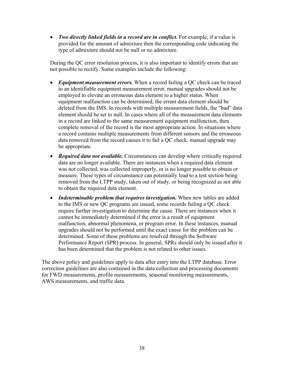• *Two directly linked fields in a record are in conflict*. For example, if a value is provided for the amount of admixture then the corresponding code indicating the type of admixture should not be null or no admixture.

During the QC error resolution process, it is also important to identify errors that are not possible to rectify. Some examples include the following:

- *Equipment measurement errors.* When a record failing a QC check can be traced to an identifiable equipment measurement error, manual upgrades should not be employed to elevate an erroneous data element to a higher status. When equipment malfunction can be determined, the errant data element should be deleted from the IMS. In records with multiple measurement fields, the "bad" data element should be set to null. In cases where all of the measurement data elements in a record are linked to the same measurement equipment malfunction, then complete removal of the record is the most appropriate action. In situations where a record contains multiple measurements from different sensors and the erroneous data removed from the record causes it to fail a QC check, manual upgrade may be appropriate.
- *Required data not available.* Circumstances can develop where critically required data are no longer available. There are instances when a required data element was not collected, was collected improperly, or is no longer possible to obtain or measure. These types of circumstance can potentially lead to a test section being removed from the LTPP study, taken out of study, or being recognized as not able to obtain the required data element.
- *Indeterminable problem that requires investigation.* When new tables are added to the IMS or new QC programs are issued, some records failing a QC check require further investigation to determine the cause. There are instances when it cannot be immediately determined if the error is a result of equipment malfunction, abnormal phenomena, or program error. In these instances, manual upgrades should not be performed until the exact cause for the problem can be determined. Some of these problems are resolved through the Software Performance Report (SPR) process. In general, SPRs should only be issued after it has been determined that the problem is not related to other issues.

The above policy and guidelines apply to data after entry into the LTPP database. Error correction guidelines are also contained in the data collection and processing documents for FWD measurements, profile measurements, seasonal monitoring measurements, AWS measurements, and traffic data.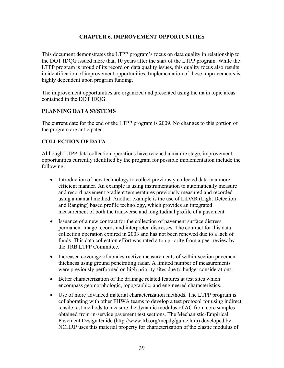### **CHAPTER 6. IMPROVEMENT OPPORTUNITIES**

This document demonstrates the LTPP program's focus on data quality in relationship to the DOT IDQG issued more than 10 years after the start of the LTPP program. While the LTPP program is proud of its record on data quality issues, this quality focus also results in identification of improvement opportunities. Implementation of these improvements is highly dependent upon program funding.

The improvement opportunities are organized and presented using the main topic areas contained in the DOT IDQG.

#### **PLANNING DATA SYSTEMS**

The current date for the end of the LTPP program is 2009. No changes to this portion of the program are anticipated.

## **COLLECTION OF DATA**

Although LTPP data collection operations have reached a mature stage, improvement opportunities currently identified by the program for possible implementation include the following:

- Introduction of new technology to collect previously collected data in a more efficient manner. An example is using instrumentation to automatically measure and record pavement gradient temperatures previously measured and recorded using a manual method. Another example is the use of LiDAR (Light Detection and Ranging) based profile technology, which provides an integrated measurement of both the transverse and longitudinal profile of a pavement.
- Issuance of a new contract for the collection of pavement surface distress permanent image records and interpreted distresses. The contract for this data collection operation expired in 2003 and has not been renewed due to a lack of funds. This data collection effort was rated a top priority from a peer review by the TRB LTPP Committee.
- Increased coverage of nondestructive measurements of within-section pavement thickness using ground penetrating radar. A limited number of measurements were previously performed on high priority sites due to budget considerations.
- Better characterization of the drainage related features at test sites which encompass geomorphologic, topographic, and engineered characteristics.
- Use of more advanced material characterization methods. The LTPP program is collaborating with other FHWA teams to develop a test protocol for using indirect tensile test methods to measure the dynamic modulus of AC from core samples obtained from in-service pavement test sections. The Mechanistic-Empirical Pavement Design Guide (<http://www.trb.org/mepdg/guide.htm>) developed by NCHRP uses this material property for characterization of the elastic modulus of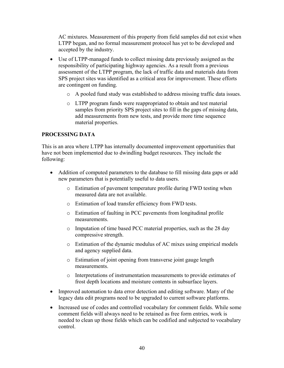AC mixtures. Measurement of this property from field samples did not exist when LTPP began, and no formal measurement protocol has yet to be developed and accepted by the industry.

- Use of LTPP-managed funds to collect missing data previously assigned as the responsibility of participating highway agencies. As a result from a previous assessment of the LTPP program, the lack of traffic data and materials data from SPS project sites was identified as a critical area for improvement. These efforts are contingent on funding.
	- o A pooled fund study was established to address missing traffic data issues.
	- o LTPP program funds were reappropriated to obtain and test material samples from priority SPS project sites to fill in the gaps of missing data, add measurements from new tests, and provide more time sequence material properties.

# **PROCESSING DATA**

This is an area where LTPP has internally documented improvement opportunities that have not been implemented due to dwindling budget resources. They include the following:

- Addition of computed parameters to the database to fill missing data gaps or add new parameters that is potentially useful to data users.
	- o Estimation of pavement temperature profile during FWD testing when measured data are not available.
	- o Estimation of load transfer efficiency from FWD tests.
	- o Estimation of faulting in PCC pavements from longitudinal profile measurements.
	- o Imputation of time based PCC material properties, such as the 28 day compressive strength.
	- o Estimation of the dynamic modulus of AC mixes using empirical models and agency supplied data.
	- o Estimation of joint opening from transverse joint gauge length measurements.
	- o Interpretations of instrumentation measurements to provide estimates of frost depth locations and moisture contents in subsurface layers.
- Improved automation to data error detection and editing software. Many of the legacy data edit programs need to be upgraded to current software platforms.
- Increased use of codes and controlled vocabulary for comment fields. While some comment fields will always need to be retained as free form entries, work is needed to clean up those fields which can be codified and subjected to vocabulary control.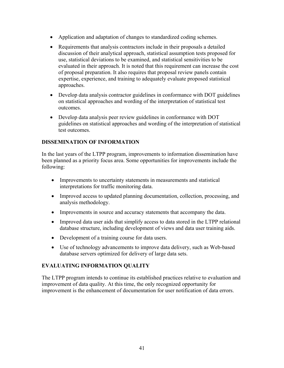- Application and adaptation of changes to standardized coding schemes.
- Requirements that analysis contractors include in their proposals a detailed discussion of their analytical approach, statistical assumption tests proposed for use, statistical deviations to be examined, and statistical sensitivities to be evaluated in their approach. It is noted that this requirement can increase the cost of proposal preparation. It also requires that proposal review panels contain expertise, experience, and training to adequately evaluate proposed statistical approaches.
- Develop data analysis contractor guidelines in conformance with DOT guidelines on statistical approaches and wording of the interpretation of statistical test outcomes.
- Develop data analysis peer review guidelines in conformance with DOT guidelines on statistical approaches and wording of the interpretation of statistical test outcomes.

# **DISSEMINATION OF INFORMATION**

In the last years of the LTPP program, improvements to information dissemination have been planned as a priority focus area. Some opportunities for improvements include the following:

- Improvements to uncertainty statements in measurements and statistical interpretations for traffic monitoring data.
- Improved access to updated planning documentation, collection, processing, and analysis methodology.
- Improvements in source and accuracy statements that accompany the data.
- Improved data user aids that simplify access to data stored in the LTPP relational database structure, including development of views and data user training aids.
- Development of a training course for data users.
- Use of technology advancements to improve data delivery, such as Web-based database servers optimized for delivery of large data sets.

# **EVALUATING INFORMATION QUALITY**

The LTPP program intends to continue its established practices relative to evaluation and improvement of data quality. At this time, the only recognized opportunity for improvement is the enhancement of documentation for user notification of data errors.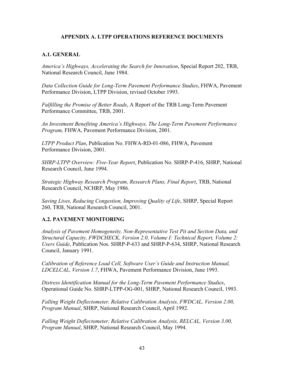#### **APPENDIX A. LTPP OPERATIONS REFERENCE DOCUMENTS**

### **A.1. GENERAL**

*America's Highways, Accelerating the Search for Innovation*, Special Report 202, TRB, National Research Council, June 1984.

*Data Collection Guide for Long-Term Pavement Performance Studies*, FHWA, Pavement Performance Division, LTPP Division, revised October 1993.

*Fulfilling the Promise of Better Roads*, A Report of the TRB Long-Term Pavement Performance Committee, TRB, 2001.

*An Investment Benefiting America's Highways, The Long-Term Pavement Performance Program,* FHWA, Pavement Performance Division, 2001.

*LTPP Product Plan*, Publication No. FHWA-RD-01-086, FHWA, Pavement Performance Division, 2001.

*SHRP-LTPP Overview: Five-Year Report*, Publication No. SHRP-P-416, SHRP, National Research Council, June 1994.

*Strategic Highway Research Program, Research Plans, Final Report*, TRB, National Research Council, NCHRP, May 1986.

*Saving Lives, Reducing Congestion, Improving Quality of Life*, SHRP, Special Report 260, TRB, National Research Council, 2001.

#### **A.2. PAVEMENT MONITORING**

*Analysis of Pavement Homogeneity, Non-Representative Test Pit and Section Data, and Structural Capacity, FWDCHECK, Version 2.0, Volume I: Technical Report, Volume 2: Users Guide*, Publication Nos. SHRP-P-633 and SHRP-P-634, SHRP, National Research Council, January 1991.

*Calibration of Reference Load Cell, Software User's Guide and Instruction Manual, LDCELCAL, Version 1.7*, FHWA, Pavement Performance Division, June 1993.

*Distress Identification Manual for the Long-Term Pavement Performance Studies*, Operational Guide No. SHRP-LTPP-OG-001, SHRP, National Research Council, 1993.

*Falling Weight Deflectometer, Relative Calibration Analysis, FWDCAL, Version 2.00, Program Manual*, SHRP, National Research Council, April 1992.

*Falling Weight Deflectometer, Relative Calibration Analysis, RELCAL, Version 3.00, Program Manual*, SHRP, National Research Council, May 1994.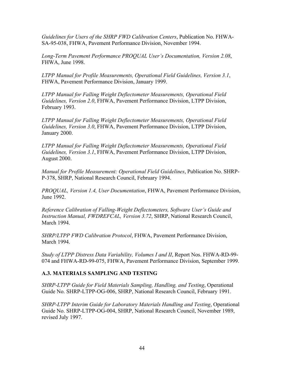*Guidelines for Users of the SHRP FWD Calibration Centers*, Publication No. FHWA-SA-95-038, FHWA, Pavement Performance Division, November 1994.

*Long-Term Pavement Performance PROQUAL User's Documentation, Version 2.08*, FHWA, June 1998.

*LTPP Manual for Profile Measurements, Operational Field Guidelines, Version 3.1*, FHWA, Pavement Performance Division, January 1999.

*LTPP Manual for Falling Weight Deflectometer Measurements, Operational Field Guidelines, Version 2.0*, FHWA, Pavement Performance Division, LTPP Division, February 1993.

*LTPP Manual for Falling Weight Deflectometer Measurements, Operational Field Guidelines, Version 3.0*, FHWA, Pavement Performance Division, LTPP Division, January 2000.

*LTPP Manual for Falling Weight Deflectometer Measurements, Operational Field Guidelines, Version 3.1*, FHWA, Pavement Performance Division, LTPP Division, August 2000.

*Manual for Profile Measurement: Operational Field Guidelines*, Publication No. SHRP-P-378, SHRP, National Research Council, February 1994.

*PROQUAL, Version 1.4, User Documentation*, FHWA, Pavement Performance Division, June 1992.

*Reference Calibration of Falling-Weight Deflectometers, Software User's Guide and Instruction Manual, FWDREFCAL, Version 3.72*, SHRP, National Research Council, March 1994.

*SHRP/LTPP FWD Calibration Protocol*, FHWA, Pavement Performance Division, March 1994.

*Study of LTPP Distress Data Variability, Volumes I and II*, Report Nos. FHWA-RD-99- 074 and FHWA-RD-99-075, FHWA, Pavement Performance Division, September 1999.

#### **A.3. MATERIALS SAMPLING AND TESTING**

*SHRP-LTPP Guide for Field Materials Sampling, Handling, and Testing*, Operational Guide No. SHRP-LTPP-OG-006, SHRP, National Research Council, February 1991.

*SHRP-LTPP Interim Guide for Laboratory Materials Handling and Testing*, Operational Guide No. SHRP-LTPP-OG-004, SHRP, National Research Council, November 1989, revised July 1997.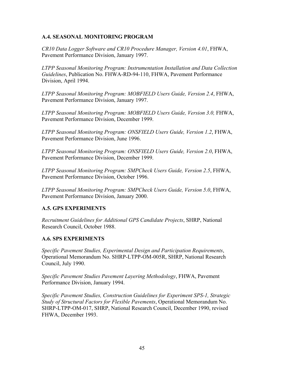### **A.4. SEASONAL MONITORING PROGRAM**

*CR10 Data Logger Software and CR10 Procedure Manager, Version 4.01*, FHWA, Pavement Performance Division, January 1997.

*LTPP Seasonal Monitoring Program: Instrumentation Installation and Data Collection Guidelines*, Publication No. FHWA-RD-94-110, FHWA, Pavement Performance Division, April 1994.

*LTPP Seasonal Monitoring Program: MOBFIELD Users Guide, Version 2.4*, FHWA, Pavement Performance Division, January 1997.

*LTPP Seasonal Monitoring Program: MOBFIELD Users Guide, Version 3.0,* FHWA, Pavement Performance Division, December 1999.

*LTPP Seasonal Monitoring Program: ONSFIELD Users Guide, Version 1.2*, FHWA, Pavement Performance Division, June 1996.

*LTPP Seasonal Monitoring Program: ONSFIELD Users Guide, Version 2.0*, FHWA, Pavement Performance Division, December 1999.

*LTPP Seasonal Monitoring Program: SMPCheck Users Guide, Version 2.5*, FHWA, Pavement Performance Division, October 1996.

*LTPP Seasonal Monitoring Program: SMPCheck Users Guide, Version 5.0*, FHWA, Pavement Performance Division, January 2000.

#### **A.5. GPS EXPERIMENTS**

*Recruitment Guidelines for Additional GPS Candidate Projects*, SHRP, National Research Council, October 1988.

#### **A.6. SPS EXPERIMENTS**

*Specific Pavement Studies, Experimental Design and Participation Requirements*, Operational Memorandum No. SHRP-LTPP-OM-005R, SHRP, National Research Council, July 1990.

*Specific Pavement Studies Pavement Layering Methodology*, FHWA, Pavement Performance Division, January 1994.

*Specific Pavement Studies, Construction Guidelines for Experiment SPS-1, Strategic Study of Structural Factors for Flexible Pavements*, Operational Memorandum No. SHRP-LTPP-OM-017, SHRP, National Research Council, December 1990, revised FHWA, December 1993.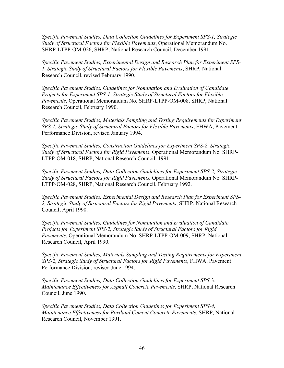*Specific Pavement Studies, Data Collection Guidelines for Experiment SPS-1, Strategic Study of Structural Factors for Flexible Pavements*, Operational Memorandum No. SHRP-LTPP-OM-026, SHRP, National Research Council, December 1991.

*Specific Pavement Studies, Experimental Design and Research Plan for Experiment SPS-1, Strategic Study of Structural Factors for Flexible Pavements*, SHRP, National Research Council, revised February 1990.

*Specific Pavement Studies, Guidelines for Nomination and Evaluation of Candidate Projects for Experiment SPS-1*, *Strategic Study of Structural Factors for Flexible Pavements*, Operational Memorandum No. SHRP-LTPP-OM-008, SHRP, National Research Council, February 1990.

*Specific Pavement Studies, Materials Sampling and Testing Requirements for Experiment SPS-1, Strategic Study of Structural Factors for Flexible Pavements*, FHWA, Pavement Performance Division, revised January 1994.

*Specific Pavement Studies, Construction Guidelines for Experiment SPS-2, Strategic Study of Structural Factors for Rigid Pavements*, Operational Memorandum No. SHRP-LTPP-OM-018, SHRP, National Research Council, 1991.

*Specific Pavement Studies, Data Collection Guidelines for Experiment SPS-2, Strategic Study of Structural Factors for Rigid Pavements,* Operational Memorandum No. SHRP-LTPP-OM-028, SHRP, National Research Council, February 1992.

*Specific Pavement Studies, Experimental Design and Research Plan for Experiment SPS-2, Strategic Study of Structural Factors for Rigid Pavements*, SHRP, National Research Council, April 1990.

*Specific Pavement Studies, Guidelines for Nomination and Evaluation of Candidate Projects for Experiment SPS-2, Strategic Study of Structural Factors for Rigid Pavements*, Operational Memorandum No. SHRP-LTPP-OM-009, SHRP, National Research Council, April 1990.

*Specific Pavement Studies, Materials Sampling and Testing Requirements for Experiment SPS-2, Strategic Study of Structural Factors for Rigid Pavements*, FHWA, Pavement Performance Division, revised June 1994.

*Specific Pavement Studies, Data Collection Guidelines for Experiment SPS*-3, *Maintenance Effectiveness for Asphalt Concrete Pavements*, SHRP, National Research Council, June 1990.

*Specific Pavement Studies, Data Collection Guidelines for Experiment SPS-4, Maintenance Effectiveness for Portland Cement Concrete Pavements*, SHRP, National Research Council, November 1991.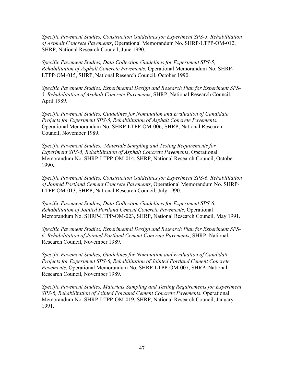*Specific Pavement Studies, Construction Guidelines for Experiment SPS-5, Rehabilitation of Asphalt Concrete Pavements*, Operational Memorandum No. SHRP-LTPP-OM-012, SHRP, National Research Council, June 1990.

*Specific Pavement Studies, Data Collection Guidelines for Experiment SPS-5, Rehabilitation of Asphalt Concrete Pavements*, Operational Memorandum No. SHRP-LTPP-OM-015, SHRP, National Research Council, October 1990.

*Specific Pavement Studies, Experimental Design and Research Plan for Experiment SPS-5, Rehabilitation of Asphalt Concrete Pavements*, SHRP, National Research Council, April 1989.

*Specific Pavement Studies, Guidelines for Nomination and Evaluation of Candidate Projects for Experiment SPS-5, Rehabilitation of Asphalt Concrete Pavements*, Operational Memorandum No. SHRP-LTPP-OM-006, SHRP, National Research Council, November 1989.

*Specific Pavement Studies., Materials Sampling and Testing Requirements for Experiment SPS-5, Rehabilitation of Asphalt Concrete Pavements*, Operational Memorandum No. SHRP-LTPP-OM-014, SHRP, National Research Council, October 1990.

*Specific Pavement Studies, Construction Guidelines for Experiment SPS-6, Rehabilitation of Jointed Portland Cement Concrete Pavements*, Operational Memorandum No. SHRP-LTPP-OM-013, SHRP, National Research Council, July 1990.

*Specific Pavement Studies, Data Collection Guidelines for Experiment SPS-6*, *Rehabilitation of Jointed Portland Cement Concrete Pavements*, Operational Memorandum No. SHRP-LTPP-OM-023, SHRP, National Research Council, May 1991.

*Specific Pavement Studies, Experimental Design and Research Plan for Experiment SPS-6, Rehabilitation of Jointed Portland Cement Concrete Pavements*, SHRP, National Research Council, November 1989.

*Specific Pavement Studies, Guidelines for Nomination and Evaluation of Candidate Projects for Experiment SPS-6, Rehabilitation of Jointed Portland Cement Concrete Pavements*, Operational Memorandum No. SHRP-LTPP-OM-007, SHRP, National Research Council, November 1989.

*Specific Pavement Studies, Materials Sampling and Testing Requirements for Experiment SPS-6, Rehabilitation of Jointed Portland Cement Concrete Pavements*, Operational Memorandum No. SHRP-LTPP-OM-019, SHRP, National Research Council, January 1991.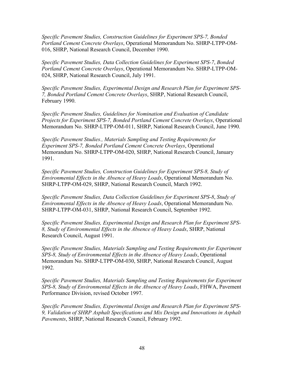*Specific Pavement Studies, Construction Guidelines for Experiment SPS-7, Bonded Portland Cement Concrete Overlays*, Operational Memorandum No. SHRP-LTPP-OM-016, SHRP, National Research Council, December 1990.

*Specific Pavement Studies, Data Collection Guidelines for Experiment SPS-7*, *Bonded Portland Cement Concrete Overlays*, Operational Memorandum No. SHRP-LTPP-OM-024, SHRP, National Research Council, July 1991.

*Specific Pavement Studies, Experimental Design and Research Plan for Experiment SPS-7, Bonded Portland Cement Concrete Overlays*, SHRP, National Research Council, February 1990.

*Specific Pavement Studies, Guidelines for Nomination and Evaluation of Candidate Projects for Experiment SPS-7, Bonded Portland Cement Concrete Overlays*, Operational Memorandum No. SHRP-LTPP-OM-011, SHRP, National Research Council, June 1990.

*Specific Pavement Studies., Materials Sampling and Testing Requirements for Experiment SPS-7, Bonded Portland Cement Concrete Overlays*, Operational Memorandum No. SHRP-LTPP-OM-020, SHRP, National Research Council, January 1991.

*Specific Pavement Studies, Construction Guidelines for Experiment SPS-8, Study of Environmental Effects in the Absence of Heavy Loads*, Operational Memorandum No. SHRP-LTPP-OM-029, SHRP, National Research Council, March 1992.

*Specific Pavement Studies, Data Collection Guidelines for Experiment SPS-8*, *Study of Environmental Effects in the Absence of Heavy Loads*, Operational Memorandum No. SHRP-LTPP-OM-031, SHRP, National Research Council, September 1992.

*Specific Pavement Studies, Experimental Design and Research Plan for Experiment SPS-8, Study of Environmental Effects in the Absence of Heavy Loads*, SHRP, National Research Council, August 1991.

*Specific Pavement Studies, Materials Sampling and Testing Requirements for Experiment SPS-8, Study of Environmental Effects in the Absence of Heavy Loads*, Operational Memorandum No. SHRP-LTPP-OM-030, SHRP, National Research Council, August 1992.

*Specific Pavement Studies, Materials Sampling and Testing Requirements for Experiment SPS-8, Study of Environmental Effects in the Absence of Heavy Loads*, FHWA, Pavement Performance Division, revised October 1997.

*Specific Pavement Studies, Experimental Design and Research Plan for Experiment SPS-9, Validation of SHRP Asphalt Specifications and Mix Design and Innovations in Asphalt Pavements*, SHRP, National Research Council, February 1992.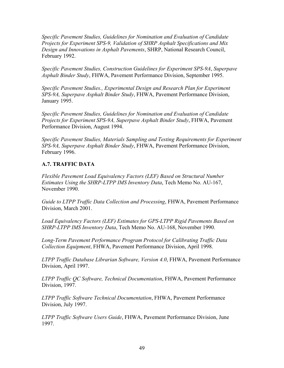*Specific Pavement Studies, Guidelines for Nomination and Evaluation of Candidate Projects for Experiment SPS-9, Validation of SHRP Asphalt Specifications and Mix Design and Innovations in Asphalt Pavements*, SHRP, National Research Council, February 1992.

*Specific Pavement Studies, Construction Guidelines for Experiment SPS-9A*, *Superpave Asphalt Binder Study*, FHWA, Pavement Performance Division, September 1995.

*Specific Pavement Studies., Experimental Design and Research Plan for Experiment SPS-9A, Superpave Asphalt Binder Study*, FHWA, Pavement Performance Division, January 1995.

*Specific Pavement Studies, Guidelines for Nomination and Evaluation of Candidate Projects for Experiment SPS-9A, Superpave Asphalt Binder Study*, FHWA, Pavement Performance Division, August 1994.

*Specific Pavement Studies, Materials Sampling and Testing Requirements for Experiment SPS-9A, Superpave Asphalt Binder Study*, FHWA, Pavement Performance Division, February 1996.

## **A.7. TRAFFIC DATA**

*Flexible Pavement Load Equivalency Factors (LEF) Based on Structural Number Estimates Using the SHRP-LTPP IMS Inventory Data*, Tech Memo No. AU-167, November 1990.

*Guide to LTPP Traffic Data Collection and Processing*, FHWA, Pavement Performance Division, March 2001.

*Load Equivalency Factors (LEF) Estimates for GPS-LTPP Rigid Pavements Based on SHRP-LTPP IMS Inventory Data*, Tech Memo No. AU-168, November 1990.

*Long-Term Pavement Performance Program Protocol for Calibrating Traffic Data Collection Equipment*, FHWA, Pavement Performance Division, April 1998.

*LTPP Traffic Database Librarian Software, Version 4.0*, FHWA, Pavement Performance Division, April 1997.

*LTPP Traffic QC Software, Technical Documentation*, FHWA, Pavement Performance Division, 1997.

*LTPP Traffic Software Technical Documentation*, FHWA, Pavement Performance Division, July 1997.

*LTPP Traffic Software Users Guide*, FHWA, Pavement Performance Division, June 1997.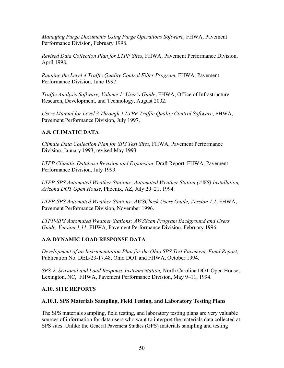*Managing Purge Documents Using Purge Operations Software*, FHWA, Pavement Performance Division, February 1998.

*Revised Data Collection Plan for LTPP Sites*, FHWA, Pavement Performance Division, April 1998.

*Running the Level 4 Traffic Quality Control Filter Program*, FHWA, Pavement Performance Division, June 1997.

*Traffic Analysis Software, Volume 1: User's Guide*, FHWA, Office of Infrastructure Research, Development, and Technology, August 2002.

*Users Manual for Level 3 Through 1 LTPP Traffic Quality Control Software*, FHWA, Pavement Performance Division, July 1997.

## **A.8. CLIMATIC DATA**

*Climate Data Collection Plan for SPS Test Sites*, FHWA, Pavement Performance Division, January 1993, revised May 1993.

*LTPP Climatic Database Revision and Expansion*, Draft Report, FHWA, Pavement Performance Division, July 1999.

*LTPP-SPS Automated Weather Stations: Automated Weather Station (AWS) Installation, Arizona DOT Open House*, Phoenix, AZ, July 20–21, 1994.

*LTPP-SPS Automated Weather Stations: AWSCheck Users Guide, Version 1.1*, FHWA, Pavement Performance Division, November 1996.

*LTPP-SPS Automated Weather Stations: AWSScan Program Background and Users Guide, Version 1.11,* FHWA, Pavement Performance Division, February 1996.

#### **A.9. DYNAMIC LOAD RESPONSE DATA**

*Development of an Instrumentation Plan for the Ohio SPS Test Pavement, Final Report*, Publication No. DEL-23-17.48, Ohio DOT and FHWA, October 1994.

*SPS-2*. *Seasonal and Load Response Instrumentation,* North Carolina DOT Open House, Lexington, NC, FHWA, Pavement Performance Division, May 9–11, 1994.

#### **A.10. SITE REPORTS**

#### **A.10.1. SPS Materials Sampling, Field Testing, and Laboratory Testing Plans**

The SPS materials sampling, field testing, and laboratory testing plans are very valuable sources of information for data users who want to interpret the materials data collected at SPS sites. Unlike the General Pavement Studies (GPS) materials sampling and testing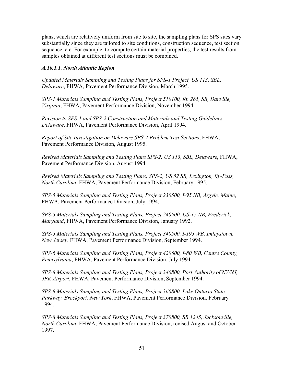plans, which are relatively uniform from site to site, the sampling plans for SPS sites vary substantially since they are tailored to site conditions, construction sequence, test section sequence, etc. For example, to compute certain material properties, the test results from samples obtained at different test sections must be combined.

### *A.10.1.1. North Atlantic Region*

*Updated Materials Sampling and Testing Plans for SPS-1 Project, US 113, SBL, Delaware*, FHWA, Pavement Performance Division, March 1995.

*SPS-1 Materials Sampling and Testing Plans, Project 510100, Rt. 265, SB, Danville, Virginia*, FHWA, Pavement Performance Division, November 1994.

*Revision to SPS-1 and SPS-2 Construction and Materials and Testing Guidelines, Delaware*, FHWA, Pavement Performance Division, April 1994.

*Report of Site Investigation on Delaware SPS-2 Problem Test Sections*, FHWA, Pavement Performance Division, August 1995.

*Revised Materials Sampling and Testing Plans SPS-2, US 113, SBL, Delaware*, FHWA, Pavement Performance Division, August 1994.

*Revised Materials Sampling and Testing Plans, SPS-2, US 52 SB, Lexington, By-Pass, North Carolina*, FHWA, Pavement Performance Division, February 1995.

*SPS-5 Materials Sampling and Testing Plans, Project 230500, I-95 NB, Argyle, Maine*, FHWA, Pavement Performance Division, July 1994.

*SPS-5 Materials Sampling and Testing Plans, Project 240500, US-15 NB, Frederick, Maryland*, FHWA, Pavement Performance Division, January 1992.

*SPS-5 Materials Sampling and Testing Plans, Project 340500, I-195 WB, Imlaystown, New Jersey*, FHWA, Pavement Performance Division, September 1994.

*SPS-6 Materials Sampling and Testing Plans, Project 420600, I-80 WB, Centre County, Pennsylvania*, FHWA, Pavement Performance Division, July 1994.

*SPS-8 Materials Sampling and Testing Plans, Project 340800, Port Authority of NY/NJ, JFK Airport*, FHWA, Pavement Performance Division, September 1994.

*SPS-8 Materials Sampling and Testing Plans, Project 360800, Lake Ontario State Parkway, Brockport, New York*, FHWA, Pavement Performance Division, February 1994.

*SPS-8 Materials Sampling and Testing Plans, Project 370800, SR 1245, Jacksonville, North Carolina*, FHWA, Pavement Performance Division, revised August and October 1997.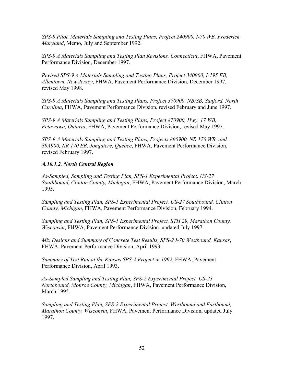*SPS-9 Pilot, Materials Sampling and Testing Plans, Project 240900, I-70 WB, Frederick, Maryland*, Memo, July and September 1992.

*SPS-9 A Materials Sampling and Testing Plan Revisions, Connecticut*, FHWA, Pavement Performance Division, December 1997.

*Revised SPS-9 A Materials Sampling and Testing Plans, Project 340900, I-195 EB, Allentown, New Jersey*, FHWA, Pavement Performance Division, December 1997, revised May 1998.

*SPS-9 A Materials Sampling and Testing Plans, Project 370900, NB/SB, Sanford, North Carolina*, FHWA, Pavement Performance Division, revised February and June 1997.

*SPS-9 A Materials Sampling and Testing Plans, Project 870900, Hwy. 17 WB, Petawawa, Ontario*, FHWA, Pavement Performance Division, revised May 1997.

*SPS-9 A Materials Sampling and Testing Plans, Projects 890900, NR 170 WB, and 89A900, NR 170 EB, Jonquiere, Quebec*, FHWA, Pavement Performance Division, revised February 1997.

## *A.10.1.2. North Central Region*

*As-Sampled, Sampling and Testing Plan, SPS-1 Experimental Project, US-27 Southbound, Clinton County, Michigan*, FHWA, Pavement Performance Division, March 1995.

*Sampling and Testing Plan, SPS-1 Experimental Project, US-27 Southbound, Clinton County, Michigan*, FHWA, Pavement Performance Division, February 1994.

*Sampling and Testing Plan, SPS-1 Experimental Project, STH 29, Marathon County, Wisconsin*, FHWA, Pavement Performance Division, updated July 1997.

*Mix Designs and Summary of Concrete Test Results, SPS-2 I-70 Westbound, Kansas*, FHWA, Pavement Performance Division, April 1993.

*Summary of Test Run at the Kansas SPS-2 Project in 1992*, FHWA, Pavement Performance Division, April 1993.

*As-Sampled Sampling and Testing Plan, SPS-2 Experimental Project, US-23 Northbound, Monroe County, Michigan*, FHWA, Pavement Performance Division, March 1995.

*Sampling and Testing Plan, SPS-2 Experimental Project, Westbound and Eastbound, Marathon County, Wisconsin*, FHWA, Pavement Performance Division, updated July 1997.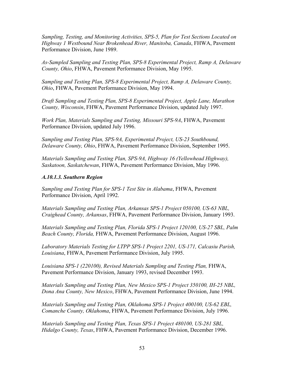*Sampling, Testing, and Monitoring Activities, SPS-5, Plan for Test Sections Located on Highway 1 Westbound Near Brokenhead River, Manitoba, Canada*, FHWA, Pavement Performance Division, June 1989.

*As-Sampled Sampling and Testing Plan, SPS-8 Experimental Project, Ramp A, Delaware County, Ohio*, FHWA, Pavement Performance Division, May 1995.

*Sampling and Testing Plan, SPS-8 Experimental Project, Ramp A, Delaware County, Ohio*, FHWA, Pavement Performance Division, May 1994.

*Draft Sampling and Testing Plan, SPS-8 Experimental Project, Apple Lane, Marathon County, Wisconsin*, FHWA, Pavement Performance Division, updated July 1997.

*Work Plan, Materials Sampling and Testing, Missouri SPS-9A*, FHWA, Pavement Performance Division, updated July 1996.

*Sampling and Testing Plan, SPS-9A, Experimental Project, US-23 Southbound, Delaware County, Ohio*, FHWA, Pavement Performance Division, September 1995.

*Materials Sampling and Testing Plan, SPS-9A, Highway 16 (Yellowhead Highway), Saskatoon, Saskatchewan*, FHWA, Pavement Performance Division, May 1996.

#### *A.10.1.3. Southern Region*

*Sampling and Testing Plan for SPS-1 Test Site in Alabama*, FHWA, Pavement Performance Division, April 1992.

*Materials Sampling and Testing Plan, Arkansas SPS-1 Project 050100, US-63 NBL, Craighead County, Arkansas*, FHWA, Pavement Performance Division, January 1993.

*Materials Sampling and Testing Plan, Florida SPS-1 Project 120100, US-27 SBL, Palm Beach County, Florida,* FHWA, Pavement Performance Division, August 1996.

*Laboratory Materials Testing for LTPP SPS-1 Project 2201, US-171, Calcasiu Parish, Louisiana*, FHWA, Pavement Performance Division, July 1995.

*Louisiana SPS-1 (220100), Revised Materials Sampling and Testing Plan,* FHWA, Pavement Performance Division, January 1993, revised December 1993.

*Materials Sampling and Testing Plan, New Mexico SPS-1 Project 350100, IH-25 NBL, Dona Ana County, New Mexico*, FHWA, Pavement Performance Division, June 1994.

*Materials Sampling and Testing Plan, Oklahoma SPS-1 Project 400100, US-62 EBL, Comanche County, Oklahoma*, FHWA, Pavement Performance Division, July 1996.

*Materials Sampling and Testing Plan, Texas SPS-1 Project 480100, US-281 SBL, Hidalgo County, Texas*, FHWA, Pavement Performance Division, December 1996.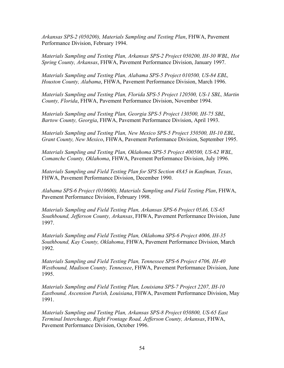*Arkansas SPS-2 (050200), Materials Sampling and Testing Plan*, FHWA, Pavement Performance Division, February 1994.

*Materials Sampling and Testing Plan, Arkansas SPS-2 Project 050200, IH-30 WBL, Hot Spring County, Arkansas*, FHWA, Pavement Performance Division, January 1997.

*Materials Sampling and Testing Plan, Alabama SPS-5 Project 010500, US-84 EBL, Houston County, Alabama*, FHWA, Pavement Performance Division, March 1996.

*Materials Sampling and Testing Plan, Florida SPS-5 Project 120500, US-1 SBL, Martin County, Florida*, FHWA, Pavement Performance Division, November 1994.

*Materials Sampling and Testing Plan, Georgia SPS-5 Project 130500, IH-75 SBL, Bartow County, Georgia*, FHWA, Pavement Performance Division, April 1993.

*Materials Sampling and Testing Plan, New Mexico SPS-5 Project 350500, IH-10 EBL, Grant County, New Mexico*, FHWA, Pavement Performance Division, September 1995.

*Materials Sampling and Testing Plan, Oklahoma SPS-5 Project 400500, US-62 WBL, Comanche County, Oklahoma*, FHWA, Pavement Performance Division, July 1996.

*Materials Sampling and Field Testing Plan for SPS Section 48A5 in Kaufman, Texas*, FHWA, Pavement Performance Division, December 1990.

*Alabama SPS-6 Project (010600), Materials Sampling and Field Testing Plan*, FHWA, Pavement Performance Division, February 1998.

*Materials Sampling and Field Testing Plan, Arkansas SPS-6 Project 05A6, US-65 Southbound, Jefferson County, Arkansas*, FHWA, Pavement Performance Division, June 1997.

*Materials Sampling and Field Testing Plan, Oklahoma SPS-6 Project 4006, IH-35 Southbound, Kay County, Oklahoma*, FHWA, Pavement Performance Division, March 1992.

*Materials Sampling and Field Testing Plan, Tennessee SPS-6 Project 4706, IH-40 Westbound, Madison County, Tennessee*, FHWA, Pavement Performance Division, June 1995.

*Materials Sampling and Field Testing Plan, Louisiana SPS-7 Project 2207, IH-10 Eastbound, Ascension Parish, Louisiana*, FHWA, Pavement Performance Division, May 1991.

*Materials Sampling and Testing Plan, Arkansas SPS-8 Project 050800, US-65 East Terminal Interchange, Right Frontage Road, Jefferson County, Arkansas*, FHWA, Pavement Performance Division, October 1996.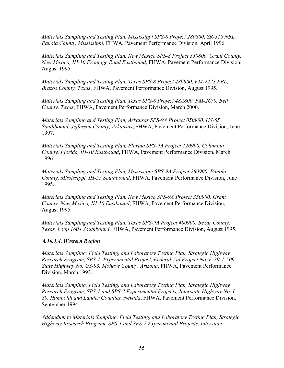*Materials Sampling and Testing Plan, Mississippi SPS-8 Project 280800, SR-315 NBL, Panola County, Mississippi*, FHWA, Pavement Performance Division, April 1996.

*Materials Sampling and Testing Plan, New Mexico SPS-8 Project 350800, Grant County, New Mexico, IH-10 Frontage Road Eastbound*, FHWA, Pavement Performance Division, August 1995.

*Materials Sampling and Testing Plan, Texas SPS-8 Project 480800, FM-2223 EBL, Brazos County, Texas*, FHWA, Pavement Performance Division, August 1995.

*Materials Sampling and Testing Plan, Texas SPS-8 Project 48A800, FM-2670, Bell County, Texas*, FHWA, Pavement Performance Division, March 2000.

*Materials Sampling and Testing Plan, Arkansas SPS-9A Project 050900, US-65 Southbound, Jefferson County, Arkansas*, FHWA, Pavement Performance Division, June 1997.

*Materials Sampling and Testing Plan, Florida SPS-9A Project 120900, Columbia County, Florida, IH-10 Eastbound*, FHWA, Pavement Performance Division, March 1996.

*Materials Sampling and Testing Plan, Mississippi SPS-9A Project 280900, Panola County, Mississippi, IH-55 Southbound*, FHWA, Pavement Performance Division, June 1995.

*Materials Sampling and Testing Plan, New Mexico SPS-9A Project 350900, Grant County, New Mexico, IH-10 Eastbound*, FHWA, Pavement Performance Division, August 1995.

*Materials Sampling and Testing Plan, Texas SPS-9A Project 480900, Bexar County, Texas, Loop 1604 Southbound*, FHWA, Pavement Performance Division, August 1995.

#### *A.10.1.4. Western Region*

*Materials Sampling, Field Testing, and Laboratory Testing Plan, Strategic Highway Research Program, SPS-1. Experimental Project, Federal Aid Project No. F-39-1-509, State Highway No. US-93, Mohave County, Arizona*, FHWA, Pavement Performance Division, March 1993.

*Materials Sampling, Field Testing, and Laboratory Testing Plan, Strategic Highway Research Program, SPS-1 and SPS-2 Experimental Projects, Interstate Highway No. I-80, Humboldt and Lander Counties, Nevada*, FHWA, Pavement Performance Division, September 1994.

*Addendum to Materials Sampling, Field Testing, and Laboratory Testing Plan, Strategic Highway Research Program, SPS-1 and SPS-2 Experimental Projects, Interstate*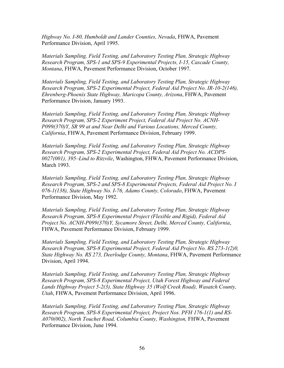*Highway No. I-80, Humboldt and Lander Counties, Nevada*, FHWA, Pavement Performance Division, April 1995.

*Materials Sampling, Field Testing, and Laboratory Testing Plan, Strategic Highway Research Program, SPS-1 and SPS-9 Experimental Projects, I-15, Cascade County, Montana*, FHWA, Pavement Performance Division, October 1997.

*Materials Sampling, Field Testing, and Laboratory Testing Plan, Strategic Highway Research Program, SPS-2 Experimental Project, Federal Aid Project No. IR-10-2(146), Ehrenberg-Phoenix State Highway, Maricopa County, Arizona*, FHWA, Pavement Performance Division, January 1993.

*Materials Sampling, Field Testing, and Laboratory Testing Plan, Strategic Highway Research Program, SPS-2 Experiment Project, Federal Aid Project No. ACNH-P099(370)Y, SR 99 at and Near Delhi and Various Locations, Merced County, California*, FHWA, Pavement Performance Division, February 1999.

*Materials Sampling, Field Testing, and Laboratory Testing Plan, Strategic Highway Research Program, SPS-2 Experimental Project, Federal Aid Project No. ACDPS-0027(001), 395–Lind to Ritzvile*, Washington, FHWA, Pavement Performance Division, March 1993.

*Materials Sampling, Field Testing, and Laboratory Testing Plan, Strategic Highway Research Program, SPS-2 and SPS-8 Experimental Projects, Federal Aid Project No. I 076-1(138), State Highway No. I-76, Adams County, Colorado*, FHWA, Pavement Performance Division, May 1992.

*Materials Sampling, Field Testing, and Laboratory Testing Plan, Strategic Highway Research Program, SPS-8 Experimental Project (Flexible and Rigid), Federal Aid Project No. ACNH-P099(370)Y, Sycamore Street, Delhi, Merced County, California*, FHWA, Pavement Performance Division, February 1999.

*Materials Sampling, Field Testing, and Laboratory Testing Plan, Strategic Highway Research Program, SPS-8 Experimental Project, Federal Aid Project No. RS 273-1(2)0, State Highway No. RS 273, Deerlodge County, Montana*, FHWA, Pavement Performance Division, April 1994.

*Materials Sampling, Field Testing, and Laboratory Testing Plan, Strategic Highway Research Program, SPS-8 Experimental Project, Utah Forest Highway and Federal Lands Highway Project 5-2(3), State Highway 35 (Wolf Creek Road), Wasatch County, Utah*, FHWA, Pavement Performance Division, April 1996.

*Materials Sampling, Field Testing, and Laboratory Testing Plan, Strategic Highway Research Program, SPS-8 Experimental Project, Project Nos. PFH 176-1(1) and RS-A070(002), North Touchet Road, Columbia County, Washington,* FHWA, Pavement Performance Division, June 1994.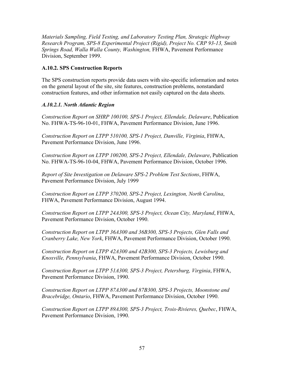*Materials Sampling, Field Testing, and Laboratory Testing Plan, Strategic Highway Research Program, SPS-8 Experimental Project (Rigid), Project No. CRP 93-13, Smith Springs Road, Walla Walla County, Washington,* FHWA, Pavement Performance Division, September 1999.

#### **A.10.2. SPS Construction Reports**

The SPS construction reports provide data users with site-specific information and notes on the general layout of the site, site features, construction problems, nonstandard construction features, and other information not easily captured on the data sheets.

#### *A.10.2.1. North Atlantic Region*

*Construction Report on SHRP 100100, SPS-1 Project, Ellendale, Delaware*, Publication No. FHWA-TS-96-10-01, FHWA, Pavement Performance Division, June 1996.

*Construction Report on LTPP 510100, SPS-1 Project, Danville, Virginia*, FHWA, Pavement Performance Division, June 1996.

*Construction Report on LTPP 100200, SPS-2 Project, Ellendale, Delaware*, Publication No. FHWA-TS-96-10-04, FHWA, Pavement Performance Division, October 1996.

*Report of Site Investigation on Delaware SPS-2 Problem Test Sections*, FHWA, Pavement Performance Division, July 1999

*Construction Report on LTPP 370200, SPS-2 Project, Lexington, North Carolina*, FHWA, Pavement Performance Division, August 1994.

*Construction Report on LTPP 24A300, SPS-3 Project, Ocean City, Maryland*, FHWA, Pavement Performance Division, October 1990.

*Construction Report on LTPP 36A300 and 36B300, SPS-3 Projects, Glen Falls and Cranberry Lake, New York*, FHWA, Pavement Performance Division, October 1990.

*Construction Report on LTPP 42A300 and 42B300, SPS-3 Projects, Lewisburg and Knoxville, Pennsylvania*, FHWA, Pavement Performance Division, October 1990.

*Construction Report on LTPP 51A300, SPS-3 Project, Petersburg, Virginia*, FHWA, Pavement Performance Division, 1990.

*Construction Report on LTPP 87A300 and 87B300, SPS-3 Projects, Moonstone and Bracebridge, Ontario*, FHWA, Pavement Performance Division, October 1990.

*Construction Report on LTPP 89A300, SPS-3 Project, Trois-Rivieres, Quebec*, FHWA, Pavement Performance Division, 1990.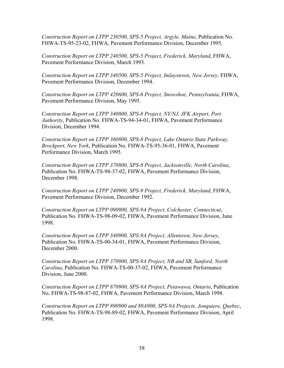*Construction Report on LTPP 230500, SPS-5 Project, Argyle, Maine*, Publication No. FHWA-TS-95-23-02, FHWA, Pavement Performance Division, December 1995.

*Construction Report on LTPP 240500, SPS-5 Project, Frederick, Maryland*, FHWA, Pavement Performance Division, March 1993.

*Construction Report on LTPP 340500, SPS-5 Project, Imlaystown, New Jersey,* FHWA, Pavement Performance Division, December 1994.

*Construction Report on LTPP 420600, SPS-6 Project, Snowshoe, Pennsylvania*, FHWA, Pavement Performance Division, May 1995.

*Construction Report on LTPP 340800, SPS-8 Project, NY/NJ, JFK Airport, Port Authority*, Publication No. FHWA-TS-94-34-01, FHWA, Pavement Performance Division, December 1994.

*Construction Report on LTPP 360800, SPS-8 Project, Lake Ontario State Parkway, Brockport, New York*, Publication No. FHWA-TS-95-36-01, FHWA, Pavement Performance Division, March 1995.

*Construction Report on LTPP 370800, SPS-8 Project, Jacksonville, North Carolina*, Publication No. FHWA-TS-98-37-02, FHWA, Pavement Performance Division, December 1998.

*Construction Report on LTPP 240900, SPS-9 Project, Frederick, Maryland*, FHWA, Pavement Performance Division, December 1992.

*Construction Report on LTPP 090900, SPS-9A Project, Colchester, Connecticut*, Publication No. FHWA-TS-98-09-02, FHWA, Pavement Performance Division, June 1998.

*Construction Report on LTPP 340900, SPS-9A Project, Allentown, New Jersey*, Publication No. FHWA-TS-00-34-01, FHWA, Pavement Performance Division, December 2000.

*Construction Report on LTPP 370900, SPS-9A Project, NB and SB, Sanford, North Carolina*, Publication No. FHWA-TS-00-37-02, FHWA, Pavement Performance Division, June 2000.

*Construction Report on LTPP 870900, SPS-9A Project, Petawawa, Ontario*, Publication No. FHWA-TS-98-87-02, FHWA, Pavement Performance Division, March 1998.

*Construction Report on LTPP 890900 and 89A900, SPS-9A Projects, Jonquiere, Quebec*, Publication No. FHWA-TS-98-89-02, FHWA, Pavement Performance Division, April 1998.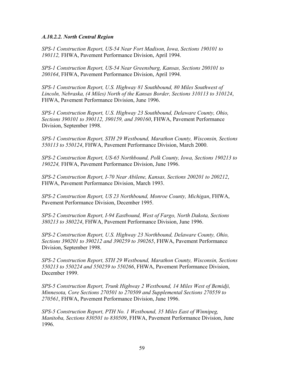#### *A.10.2.2. North Central Region*

*SPS-1 Construction Report, US-54 Near Fort Madison, Iowa, Sections 190101 to 190112,* FHWA, Pavement Performance Division, April 1994.

*SPS-1 Construction Report, US-54 Near Greensburg, Kansas, Sections 200101 to 200164*, FHWA, Pavement Performance Division, April 1994.

*SPS-1 Construction Report, U.S. Highway 81 Southbound, 80 Miles Southwest of Lincoln, Nebraska, (4 Miles) North of the Kansas Border, Sections 310113 to 310124*, FHWA, Pavement Performance Division, June 1996.

*SPS-1 Construction Report, U.S. Highway 23 Southbound, Delaware County, Ohio, Sections 390101 to 390112, 390159, and 390160*, FHWA, Pavement Performance Division, September 1998.

*SPS-1 Construction Report, STH 29 Westbound, Marathon County, Wisconsin, Sections 550113 to 550124*, FHWA, Pavement Performance Division, March 2000.

*SPS-2 Construction Report, US-65 Northbound, Polk County, Iowa, Sections 190213 to 190224,* FHWA, Pavement Performance Division, June 1996.

*SPS-2 Construction Report, I-70 Near Abilene, Kansas, Sections 200201 to 200212*, FHWA, Pavement Performance Division, March 1993.

*SPS-2 Construction Report, US 23 Northbound, Monroe County, Michigan*, FHWA, Pavement Performance Division, December 1995.

*SPS-2 Construction Report, I-94 Eastbound, West of Fargo, North Dakota, Sections 380213 to 380224*, FHWA, Pavement Performance Division, June 1996.

*SPS-2 Construction Report, U.S. Highway 23 Northbound, Delaware County, Ohio, Sections 390201 to 390212 and 390259 to 390265*, FHWA, Pavement Performance Division, September 1998.

*SPS-2 Construction Report, STH 29 Westbound, Marathon County, Wisconsin, Sections 550213 to 550224 and 550259 to 550266*, FHWA, Pavement Performance Division, December 1999.

*SPS-5 Construction Report, Trunk Highway 2 Westbound, 14 Miles West of Bemidji, Minnesota, Core Sections 270501 to 270509 and Supplemental Sections 270559 to 270561*, FHWA, Pavement Performance Division, June 1996.

*SPS-5 Construction Report, PTH No. 1 Westbound, 35 Miles East of Winnipeg, Manitoba, Sections 830501 to 830509*, FHWA, Pavement Performance Division, June 1996.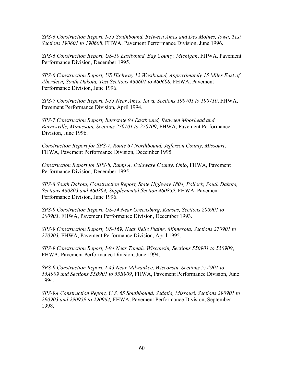*SPS-6 Construction Report, I-35 Southbound, Between Ames and Des Moines, Iowa, Test Sections 190601 to 190608*, FHWA, Pavement Performance Division, June 1996.

*SPS-6 Construction Report, US-10 Eastbound, Bay County, Michigan*, FHWA, Pavement Performance Division, December 1995.

*SPS-6 Construction Report, US Highway 12 Westbound, Approximately 15 Miles East of Aberdeen, South Dakota, Test Sections 460601 to 460608*, FHWA, Pavement Performance Division, June 1996.

*SPS-7 Construction Report, I-35 Near Ames, Iowa, Sections 190701 to 190710*, FHWA, Pavement Performance Division, April 1994.

*SPS-7 Construction Report, Interstate 94 Eastbound, Between Moorhead and Barnesville, Minnesota, Sections 270701 to 270709*, FHWA, Pavement Performance Division, June 1996.

*Construction Report for SPS-7*, *Route 67 Northbound, Jefferson County, Missouri*, FHWA, Pavement Performance Division, December 1995.

*Construction Report for SPS-8, Ramp A, Delaware County, Ohio*, FHWA, Pavement Performance Division, December 1995.

*SPS-8 South Dakota, Construction Report, State Highway 1804, Pollock, South Dakota, Sections 460803 and 460804, Supplemental Section 460859*, FHWA, Pavement Performance Division, June 1996.

*SPS-9 Construction Report, US-54 Near Greensburg, Kansas, Sections 200901 to 200903*, FHWA, Pavement Performance Division, December 1993.

*SPS-9 Construction Report, US-169, Near Belle Plaine, Minnesota, Sections 270901 to 270903,* FHWA, Pavement Performance Division, April 1995.

*SPS-9 Construction Report, I-94 Near Tomah, Wisconsin, Sections 550901 to 550909*, FHWA, Pavement Performance Division, June 1994.

*SPS-9 Construction Report, I-43 Near Milwaukee, Wisconsin, Sections 55A901 to 55A909 and Sections 55B901 to 55B909*, FHWA, Pavement Performance Division, June 1994.

*SPS-9A Construction Report, U.S. 65 Southbound, Sedalia, Missouri, Sections 290901 to 290903 and 290959 to 290964,* FHWA, Pavement Performance Division, September 1998.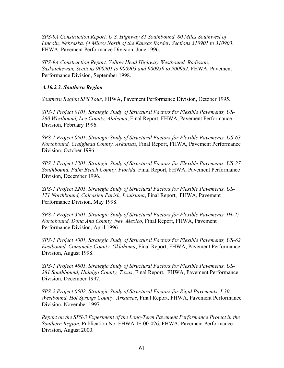*SPS-9A Construction Report, U.S. Highway 81 Southbound, 80 Miles Southwest of Lincoln, Nebraska, (4 Miles) North of the Kansas Border, Sections 310901 to 310903*, FHWA, Pavement Performance Division, June 1996.

*SPS-9A Construction Report, Yellow Head Highway Westbound, Radisson, Saskatchewan, Sections 900901 to 900903 and 900959 to 900962*, FHWA, Pavement Performance Division, September 1998.

#### *A.10.2.3. Southern Region*

*Southern Region SPS Tour*, FHWA, Pavement Performance Division, October 1995.

*SPS-1 Project 0101, Strategic Study of Structural Factors for Flexible Pavements, US-280 Westbound, Lee County, Alabama*, Final Report, FHWA, Pavement Performance Division, February 1996.

*SPS-1 Project 0501, Strategic Study of Structural Factors for Flexible Pavements, US-63 Northbound, Craighead County, Arkansas*, Final Report, FHWA, Pavement Performance Division, October 1996.

*SPS-1 Project 1201, Strategic Study of Structural Factors for Flexible Pavements, US-27 Southbound, Palm Beach County, Florida,* Final Report, FHWA, Pavement Performance Division, December 1996.

*SPS-1 Project 2201, Strategic Study of Structural Factors for Flexible Pavements, US-171 Northbound, Calcasieu Parish, Louisiana*, Final Report, FHWA, Pavement Performance Division, May 1998.

*SPS-1 Project 3501, Strategic Study of Structural Factors for Flexible Pavements, IH-25 Northbound, Dona Ana County, New Mexico*, Final Report, FHWA, Pavement Performance Division, April 1996.

*SPS-1 Project 4001, Strategic Study of Structural Factors for Flexible Pavements, US-62 Eastbound, Comanche County, Oklahoma*, Final Report, FHWA, Pavement Performance Division, August 1998.

*SPS-1 Project 4801, Strategic Study of Structural Factors for Flexible Pavements, US-281 Southbound, Hidalgo County, Texas*, Final Report, FHWA, Pavement Performance Division, December 1997.

*SPS-2 Project 0502, Strategic Study of Structural Factors for Rigid Pavements, I-30 Westbound, Hot Springs County, Arkansas*, Final Report, FHWA, Pavement Performance Division, November 1997.

*Report on the SPS-3 Experiment of the Long-Term Pavement Performance Project in the Southern Region*, Publication No. FHWA-IF-00-026, FHWA, Pavement Performance Division, August 2000.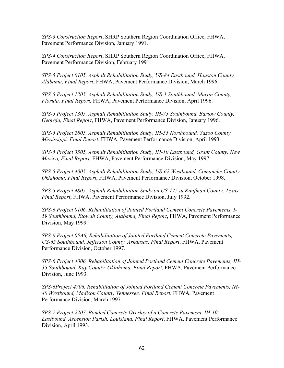*SPS-3 Construction Report*, SHRP Southern Region Coordination Office, FHWA, Pavement Performance Division, January 1991.

*SPS-4 Construction Report*, SHRP Southern Region Coordination Office, FHWA, Pavement Performance Division, February 1991.

*SPS-5 Project 0105, Asphalt Rehabilitation Study, US-84 Eastbound, Houston County, Alabama, Final Report*, FHWA, Pavement Performance Division, March 1996.

*SPS-5 Project 1205, Asphalt Rehabilitation Study, US-1 Southbound, Martin County, Florida, Final Report,* FHWA, Pavement Performance Division, April 1996.

*SPS-5 Project 1305, Asphalt Rehabilitation Study, IH-75 Southbound, Bartow County, Georgia, Final Report*, FHWA, Pavement Performance Division, January 1996.

*SPS-5 Project 2805, Asphalt Rehabilitation Study, IH-55 Northbound, Yazoo County, Mississippi, Final Report*, FHWA, Pavement Performance Division, April 1993.

*SPS-5 Project 3505, Asphalt Rehabilitation Study, IH-10 Eastbound, Grant County, New Mexico, Final Report,* FHWA, Pavement Performance Division, May 1997.

*SPS-5 Project 4005, Asphalt Rehabilitation Study, US-62 Westbound, Comanche County, Oklahoma, Final Report*, FHWA, Pavement Performance Division, October 1998.

*SPS-5 Project 4805, Asphalt Rehabilitation Study on US-175 in Kaufman County, Texas, Final Report*, FHWA, Pavement Performance Division, July 1992.

*SPS-6 Project 0106, Rehabilitation of Jointed Portland Cement Concrete Pavements, I-59 Southbound, Etowah County, Alabama, Final Report*, FHWA, Pavement Performance Division, May 1999.

*SPS-6 Project 05A6, Rehabilitation of Jointed Portland Cement Concrete Pavements, US-65 Southbound, Jefferson County, Arkansas, Final Report*, FHWA, Pavement Performance Division, October 1997.

*SPS-6 Project 4006, Rehabilitation of Jointed Portland Cement Concrete Pavements, IH-35 Southbound, Kay County, Oklahoma, Final Report*, FHWA, Pavement Performance Division, June 1993.

*SPS-6Project 4706, Rehabilitation of Jointed Portland Cement Concrete Pavements, IH-40 Westbound, Madison County, Tennessee, Final Report*, FHWA, Pavement Performance Division, March 1997.

*SPS-7 Project 2207, Bonded Concrete Overlay of a Concrete Pavement, IH-10 Eastbound, Ascension Parish, Louisiana, Final Report*, FHWA, Pavement Performance Division, April 1993.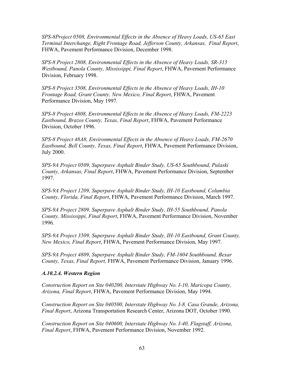*SPS-8Project 0508, Environmental Effects in the Absence of Heavy Loads, US-65 East Terminal Interchange, Right Frontage Road, Jefferson County, Arkansas, Final Report*, FHWA, Pavement Performance Division, December 1998.

*SPS-8 Project 2808, Environmental Effects in the Absence of Heavy Loads, SR-315 Westbound, Panola County, Mississippi, Final Report*, FHWA, Pavement Performance Division, February 1998.

*SPS-8 Project 3508, Environmental Effects in the Absence of Heavy Loads, IH-10 Frontage Road, Grant County, New Mexico, Final Report*, FHWA, Pavement Performance Division, May 1997.

*SPS-8 Project 4808, Environmental Effects in the Absence of Heavy Loads, FM-2223 Eastbound, Brazos County, Texas, Final Report*, FHWA, Pavement Performance Division, October 1996.

*SPS-8 Project 48A8, Environmental Effects in the Absence of Heavy Loads, FM-2670 Eastbound, Bell County, Texas, Final Report*, FHWA, Pavement Performance Division, July 2000.

*SPS-9A Project 0509, Superpave Asphalt Binder Study, US-65 Southbound, Pulaski County, Arkansas, Final Report*, FHWA, Pavement Performance Division, September 1997.

*SPS-9A Project 1209, Superpave Asphalt Binder Study, IH-10 Eastbound, Columbia County, Florida, Final Report*, FHWA, Pavement Performance Division, March 1997.

*SPS-9A Project 2809, Superpave Asphalt Binder Study, IH-55 Southbound, Panola County, Mississippi, Final Report*, FHWA, Pavement Performance Division, November 1996.

*SPS-9A Project 3509, Superpave Asphalt Binder Study, IH-10 Eastbound, Grant County, New Mexico, Final Report*, FHWA, Pavement Performance Division, May 1997.

*SPS-9A Project 4809, Superpave Asphalt Binder Study, FM-1604 Southbound, Bexar County, Texas, Final Report,* FHWA, Pavement Performance Division, January 1996.

#### *A.10.2.4. Western Region*

*Construction Report on Site 040200, Interstate Highway No. I-10, Maricopa County, Arizona, Final Report*, FHWA, Pavement Performance Division, May 1994.

*Construction Report on Site 040500, Interstate Highway No. I-8, Casa Grande, Arizona, Final Report*, Arizona Transportation Research Center, Arizona DOT, October 1990.

*Construction Report on Site 040600, Interstate Highway No. I-40, Flagstaff, Arizona, Final Report*, FHWA, Pavement Performance Division, November 1992.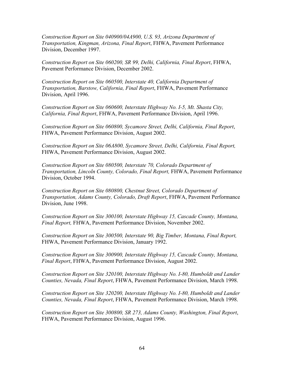*Construction Report on Site 040900/04A900, U.S. 93, Arizona Department of Transportation, Kingman, Arizona, Final Report*, FHWA, Pavement Performance Division, December 1997.

*Construction Report on Site 060200, SR 99, Delhi, California, Final Report*, FHWA, Pavement Performance Division, December 2002.

*Construction Report on Site 060500, Interstate 40, California Department of Transportation, Barstow, California, Final Report*, FHWA, Pavement Performance Division, April 1996.

*Construction Report on Site 060600, Interstate Highway No. I-5, Mt. Shasta City, California, Final Report*, FHWA, Pavement Performance Division, April 1996.

*Construction Report on Site 060800, Sycamore Street, Delhi, California, Final Report*, FHWA, Pavement Performance Division, August 2002.

*Construction Report on Site 06A800, Sycamore Street, Delhi, California, Final Report,* FHWA, Pavement Performance Division, August 2002.

*Construction Report on Site 080500, Interstate 70, Colorado Department of Transportation, Lincoln County, Colorado, Final Report,* FHWA, Pavement Performance Division, October 1994.

*Construction Report on Site 080800, Chestnut Street, Colorado Department of Transportation, Adams County, Colorado, Draft Report*, FHWA, Pavement Performance Division, June 1998.

*Construction Report on Site 300100, Interstate Highway 15, Cascade County, Montana, Final Report,* FHWA, Pavement Performance Division, November 2002.

*Construction Report on Site 300500, Interstate 90, Big Timber, Montana, Final Report,* FHWA, Pavement Performance Division, January 1992.

*Construction Report on Site 300900, Interstate Highway 15, Cascade County, Montana, Final Report*, FHWA, Pavement Performance Division, August 2002.

*Construction Report on Site 320100, Interstate Highway No. I-80, Humboldt and Lander Counties, Nevada, Final Report*, FHWA, Pavement Performance Division, March 1998.

*Construction Report on Site 320200, Interstate Highway No. I-80, Humboldt and Lander Counties, Nevada, Final Report*, FHWA, Pavement Performance Division, March 1998.

*Construction Report on Site 300800, SR 273, Adams County, Washington, Final Report*, FHWA, Pavement Performance Division, August 1996.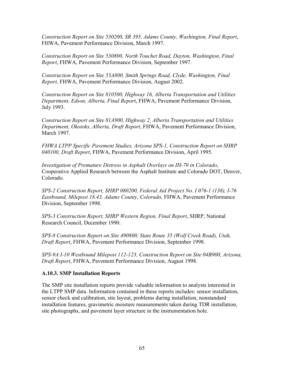*Construction Report on Site 530200, SR 395, Adams County, Washington, Final Report*, FHWA, Pavement Performance Division, March 1997.

*Construction Report on Site 530800, North Touchet Road, Dayton, Washington, Final Report*, FHWA, Pavement Performance Division, September 1997.

*Construction Report on Site 53A800, Smith Springs Road, Clyde, Washington, Final Report,* FHWA, Pavement Performance Division, August 2002.

*Construction Report on Site 810500, Highway 16, Alberta Transportation and Utilities Department, Edson, Alberta, Final Repor*t, FHWA, Pavement Performance Division, July 1993.

*Construction Report on Site 81A900, Highway 2, Alberta Transportation and Utilities Department, Okotoks, Alberta, Draft Report*, FHWA, Pavement Performance Division, March 1997.

*FHWA LTPP Specific Pavement Studies, Arizona SPS-1, Construction Report on SHRP 040100, Draft Report*, FHWA, Pavement Performance Division, April 1995.

*Investigation of Premature Distress in Asphalt Overlays on IH-70 in Colorado*, Cooperative Applied Research between the Asphalt Institute and Colorado DOT, Denver, Colorado.

*SPS-2 Construction Report, SHRP 080200, Federal Aid Project No. I 076-1 (138), I-76 Eastbound, Milepost 18.43, Adams County, Colorado,* FHWA, Pavement Performance Division, September 1998.

*SPS-3 Construction Report, SHRP Western Region, Final Report*, SHRP, National Research Council, December 1990.

*SPS-8 Construction Report on Site 490800, State Route 35 (Wolf Creek Road), Utah, Draft Report*, FHWA, Pavement Performance Division, September 1998.

*SPS-9A I-10 Westbound Milepost 112-123, Construction Report on Site 04B900, Arizona, Draft Report*, FHWA, Pavement Performance Division, August 1998.

# **A.10.3. SMP Installation Reports**

The SMP site installation reports provide valuable information to analysts interested in the LTPP SMP data. Information contained in these reports includes: sensor installation, sensor check and calibration, site layout, problems during installation, nonstandard installation features, gravimetric moisture measurements taken during TDR installation, site photographs, and pavement layer structure in the instrumentation hole.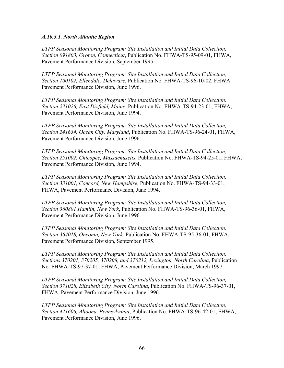#### *A.10.3.1. North Atlantic Region*

*LTPP Seasonal Monitoring Program: Site Installation and Initial Data Collection, Section 091803, Groton, Connecticut*, Publication No. FHWA-TS-95-09-01, FHWA, Pavement Performance Division, September 1995.

*LTPP Seasonal Monitoring Program: Site Installation and Initial Data Collection, Section 100102, Ellendale, Delaware*, Publication No. FHWA-TS-96-10-02, FHWA, Pavement Performance Division, June 1996.

*LTPP Seasonal Monitoring Program: Site Installation and Initial Data Collection, Section 231026, East Dixfield, Maine*, Publication No. FHWA-TS-94-23-01, FHWA, Pavement Performance Division, June 1994.

*LTPP Seasonal Monitoring Program: Site Installation and Initial Data Collection, Section 241634, Ocean City, Maryland*, Publication No. FHWA-TS-96-24-01, FHWA, Pavement Performance Division, June 1996.

*LTPP Seasonal Monitoring Program: Site Installation and Initial Data Collection, Section 251002, Chicopee, Massachusetts*, Publication No. FHWA-TS-94-25-01, FHWA, Pavement Performance Division, June 1994.

*LTPP Seasonal Monitoring Program: Site Installation and Initial Data Collection, Section 331001, Concord, New Hampshire*, Publication No. FHWA-TS-94-33-01, FHWA, Pavement Performance Division, June 1994.

*LTPP Seasonal Monitoring Program: Site Installation and Initial Data Collection, Section 360801 Hamlin, New York*, Publication No. FHWA-TS-96-36-01, FHWA, Pavement Performance Division, June 1996.

*LTPP Seasonal Monitoring Program: Site Installation and Initial Data Collection, Section 364018, Oneonta, New York,* Publication No. FHWA-TS-95-36-01, FHWA, Pavement Performance Division, September 1995.

*LTPP Seasonal Monitoring Program: Site Installation and Initial Data Collection, Sections 370201, 370205, 370208, and 370212, Lexington, North Carolina*, Publication No. FHWA-TS-97-37-01, FHWA, Pavement Performance Division, March 1997.

*LTPP Seasonal Monitoring Program: Site Installation and Initial Data Collection, Section 371028, Elizabeth City, North Carolina*, Publication No. FHWA-TS-96-37-01, FHWA, Pavement Performance Division, June 1996.

*LTPP Seasonal Monitoring Program: Site Installation and Initial Data Collection, Section 421606, Altoona, Pennsylvania*, Publication No. FHWA-TS-96-42-01, FHWA, Pavement Performance Division, June 1996.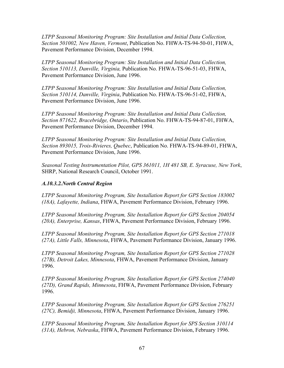*LTPP Seasonal Monitoring Program: Site Installation and Initial Data Collection, Section 501002, New Haven, Vermont*, Publication No. FHWA-TS-94-50-01, FHWA, Pavement Performance Division, December 1994.

*LTPP Seasonal Monitoring Program: Site Installation and Initial Data Collection, Section 510113, Danville, Virginia,* Publication No. FHWA-TS-96-51-03, FHWA, Pavement Performance Division, June 1996.

*LTPP Seasonal Monitoring Program: Site Installation and Initial Data Collection, Section 510114, Danville, Virginia*, Publication No. FHWA-TS-96-51-02, FHWA, Pavement Performance Division, June 1996.

*LTPP Seasonal Monitoring Program: Site Installation and Initial Data Collection, Section 871622, Bracebridge, Ontario*, Publication No. FHWA-TS-94-87-01, FHWA, Pavement Performance Division, December 1994.

*LTPP Seasonal Monitoring Program: Site Installation and Initial Data Collection, Section 893015, Trois-Rivieres, Quebec*, Publication No. FHWA-TS-94-89-01, FHWA, Pavement Performance Division, June 1996.

*Seasonal Testing Instrumentation Pilot, GPS 361011, 1H 481 SB, E. Syracuse, New York*, SHRP, National Research Council, October 1991.

### *A.10.3.2.North Central Region*

*LTPP Seasonal Monitoring Program, Site Installation Report for GPS Section 183002 (18A), Lafayette, Indiana*, FHWA, Pavement Performance Division, February 1996.

*LTPP Seasonal Monitoring Program, Site Installation Report for GPS Section 204054 (20A), Enterprise, Kansas*, FHWA, Pavement Performance Division, February 1996.

*LTPP Seasonal Monitoring Program, Site Installation Report for GPS Section 271018 (27A), Little Falls, Minnesota*, FHWA, Pavement Performance Division, January 1996.

*LTPP Seasonal Monitoring Program, Site Installation Report for GPS Section 271028 (27B), Detroit Lakes, Minnesota*, FHWA, Pavement Performance Division, January 1996.

*LTPP Seasonal Monitoring Program, Site Installation Report for GPS Section 274040 (27D), Grand Rapids, Minnesota*, FHWA, Pavement Performance Division, February 1996.

*LTPP Seasonal Monitoring Program, Site Installation Report for GPS Section 276251 (27C), Bemidji, Minnesota*, FHWA, Pavement Performance Division, January 1996.

*LTPP Seasonal Monitoring Program, Site Installation Report for SPS Section 310114 (31A), Hebron, Nebraska*, FHWA, Pavement Performance Division, February 1996.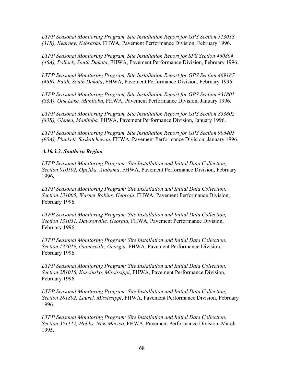*LTPP Seasonal Monitoring Program, Site Installation Report for GPS Section 313018 (31B), Kearney, Nebraska*, FHWA, Pavement Performance Division, February 1996.

*LTPP Seasonal Monitoring Program, Site Installation Report for SPS Section 460804 (46A), Pollock, South Dakota*, FHWA, Pavement Performance Division, February 1996.

*LTPP Seasonal Monitoring Program, Site Installation Report for GPS Section 469187 (46B), Faith, South Dakota*, FHWA, Pavement Performance Division, February 1996.

*LTPP Seasonal Monitoring Program, Site Installation Report for GPS Section 831801 (83A), Oak Lake, Manitoba*, FHWA, Pavement Performance Division, January 1996.

*LTPP Seasonal Monitoring Program, Site Installation Report for GPS Section 833802 (83B), Glenea, Manitoba,* FHWA, Pavement Performance Division, January 1996.

*LTPP Seasonal Monitoring Program, Site Installation Report for GPS Section 906405 (90A), Plunkett, Saskatchewan*, FHWA, Pavement Performance Division, January 1996.

# *A.10.3.3. Southern Region*

*LTPP Seasonal Monitoring Program: Site Installation and Initial Data Collection, Section 010102, Opelika, Alabama*, FHWA, Pavement Performance Division, February 1996.

*LTPP Seasonal Monitoring Program: Site Installation and Initial Data Collection, Section 131005, Warner Robins, Georgia*, FHWA, Pavement Performance Division, February 1996.

*LTPP Seasonal Monitoring Program: Site Installation and Initial Data Collection, Section 131031, Dawsonville, Georgia*, FHWA, Pavement Performance Division, February 1996.

*LTPP Seasonal Monitoring Program: Site Installation and Initial Data Collection, Section 133019, Gainesville, Georgia,* FHWA, Pavement Performance Division, February 1996.

*LTPP Seasonal Monitoring Program: Site Installation and Initial Data Collection, Section 281016, Kosciusko, Mississippi*, FHWA, Pavement Performance Division, February 1996.

*LTPP Seasonal Monitoring Program: Site Installation and Initial Data Collection, Section 281802, Laurel, Mississippi*, FHWA, Pavement Performance Division, February 1996.

*LTPP Seasonal Monitoring Program: Site Installation and Initial Data Collection, Section 351112, Hobbs, New Mexico*, FHWA, Pavement Performance Division, March 1995.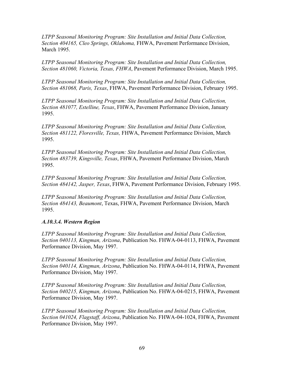*LTPP Seasonal Monitoring Program: Site Installation and Initial Data Collection, Section 404165, Cleo Springs, Oklahoma,* FHWA, Pavement Performance Division, March 1995.

*LTPP Seasonal Monitoring Program: Site Installation and Initial Data Collection, Section 481060, Victoria, Texas, FHWA*, Pavement Performance Division, March 1995.

*LTPP Seasonal Monitoring Program: Site Installation and Initial Data Collection, Section 481068, Paris, Texas*, FHWA, Pavement Performance Division, February 1995.

*LTPP Seasonal Monitoring Program: Site Installation and Initial Data Collection, Section 481077, Estelline, Texas*, FHWA, Pavement Performance Division, January 1995.

*LTPP Seasonal Monitoring Program: Site Installation and Initial Data Collection, Section 481122, Floresville, Texas,* FHWA, Pavement Performance Division, March 1995.

*LTPP Seasonal Monitoring Program: Site Installation and Initial Data Collection, Section 483739, Kingsville, Texas*, FHWA, Pavement Performance Division, March 1995.

*LTPP Seasonal Monitoring Program: Site Installation and Initial Data Collection, Section 484142, Jasper, Texas*, FHWA, Pavement Performance Division, February 1995.

*LTPP Seasonal Monitoring Program: Site Installation and Initial Data Collection, Section 484143, Beaumont*, Texas, FHWA, Pavement Performance Division, March 1995.

#### *A.10.3.4. Western Region*

*LTPP Seasonal Monitoring Program: Site Installation and Initial Data Collection, Section 040113, Kingman, Arizona*, Publication No. FHWA-04-0113, FHWA, Pavement Performance Division, May 1997.

*LTPP Seasonal Monitoring Program: Site Installation and Initial Data Collection, Section 040114, Kingman, Arizona*, Publication No. FHWA-04-0114, FHWA, Pavement Performance Division, May 1997.

*LTPP Seasonal Monitoring Program: Site Installation and Initial Data Collection, Section 040215, Kingman, Arizona*, Publication No. FHWA-04-0215, FHWA, Pavement Performance Division, May 1997.

*LTPP Seasonal Monitoring Program: Site Installation and Initial Data Collection, Section 041024, Flagstaff, Arizona*, Publication No. FHWA-04-1024, FHWA, Pavement Performance Division, May 1997.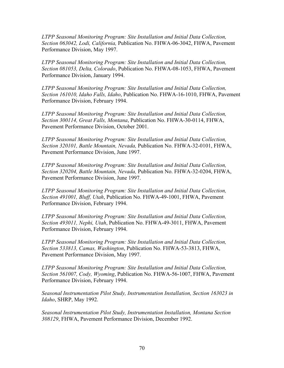*LTPP Seasonal Monitoring Program: Site Installation and Initial Data Collection, Section 063042, Lodi, California,* Publication No. FHWA-06-3042, FHWA, Pavement Performance Division, May 1997.

*LTPP Seasonal Monitoring Program: Site Installation and Initial Data Collection, Section 081053, Delta, Colorado*, Publication No. FHWA-08-1053, FHWA, Pavement Performance Division, January 1994.

*LTPP Seasonal Monitoring Program: Site Installation and Initial Data Collection, Section 161010, Idaho Falls, Idaho*, Publication No. FHWA-16-1010, FHWA, Pavement Performance Division, February 1994.

*LTPP Seasonal Monitoring Program: Site Installation and Initial Data Collection, Section 300114, Great Falls, Montana*, Publication No. FHWA-30-0114, FHWA, Pavement Performance Division, October 2001.

*LTPP Seasonal Monitoring Program: Site Installation and Initial Data Collection, Section 320101, Battle Mountain, Nevada,* Publication No. FHWA-32-0101, FHWA, Pavement Performance Division, June 1997.

*LTPP Seasonal Monitoring Program: Site Installation and Initial Data Collection, Section 320204, Battle Mountain, Nevada,* Publication No. FHWA-32-0204, FHWA, Pavement Performance Division, June 1997.

*LTPP Seasonal Monitoring Program: Site Installation and Initial Data Collection, Section 491001, Bluff, Utah*, Publication No. FHWA-49-1001, FHWA, Pavement Performance Division, February 1994.

*LTPP Seasonal Monitoring Program: Site Installation and Initial Data Collection, Section 493011, Nephi, Utah*, Publication No. FHWA-49-3011, FHWA, Pavement Performance Division, February 1994.

*LTPP Seasonal Monitoring Program: Site Installation and Initial Data Collection, Section 533813, Camas, Washington*, Publication No. FHWA-53-3813, FHWA, Pavement Performance Division, May 1997.

*LTPP Seasonal Monitoring Program: Site Installation and Initial Data Collection, Section 561007, Cody, Wyoming*, Publication No. FHWA-56-1007, FHWA, Pavement Performance Division, February 1994.

*Seasonal Instrumentation Pilot Study, Instrumentation Installation, Section 163023 in Idaho*, SHRP, May 1992.

*Seasonal Instrumentation Pilot Study, Instrumentation Installation, Montana Section 308129*, FHWA, Pavement Performance Division, December 1992.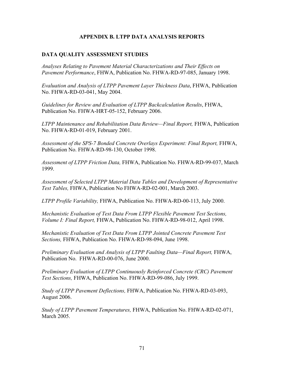### **APPENDIX B. LTPP DATA ANALYSIS REPORTS**

#### **DATA QUALITY ASSESSMENT STUDIES**

*Analyses Relating to Pavement Material Characterizations and Their Effects on Pavement Performance*, FHWA, Publication No. FHWA-RD-97-085, January 1998.

*Evaluation and Analysis of LTPP Pavement Layer Thickness Data*, FHWA, Publication No. FHWA-RD-03-041, May 2004.

*Guidelines for Review and Evaluation of LTPP Backcalculation Results*, FHWA, Publication No. FHWA-HRT-05-152, February 2006.

*LTPP Maintenance and Rehabilitation Data Review—Final Report,* FHWA, Publication No. FHWA-RD-01-019, February 2001.

*Assessment of the SPS-7 Bonded Concrete Overlays Experiment: Final Report,* FHWA, Publication No. FHWA-RD-98-130, October 1998.

*Assessment of LTPP Friction Data,* FHWA, Publication No. FHWA-RD-99-037, March 1999.

*Assessment of Selected LTPP Material Data Tables and Development of Representative Test Tables,* FHWA, Publication No FHWA-RD-02-001, March 2003.

*LTPP Profile Variability,* FHWA, Publication No. FHWA-RD-00-113, July 2000.

*Mechanistic Evaluation of Test Data From LTPP Flexible Pavement Test Sections, Volume I: Final Report,* FHWA, Publication No. FHWA-RD-98-012, April 1998.

*Mechanistic Evaluation of Test Data From LTPP Jointed Concrete Pavement Test Sections,* FHWA, Publication No. FHWA-RD-98-094, June 1998.

*Preliminary Evaluation and Analysis of LTPP Faulting Data—Final Report,* FHWA, Publication No. FHWA-RD-00-076, June 2000.

*Preliminary Evaluation of LTPP Continuously Reinforced Concrete (CRC) Pavement Test Sections,* FHWA, Publication No. FHWA-RD-99-086, July 1999.

*Study of LTPP Pavement Deflections,* FHWA, Publication No. FHWA-RD-03-093, August 2006.

*Study of LTPP Pavement Temperatures,* FHWA, Publication No. FHWA-RD-02-071, March 2005.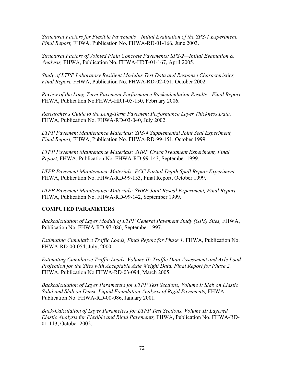*Structural Factors for Flexible Pavements—Initial Evaluation of the SPS-1 Experiment, Final Report,* FHWA, Publication No. FHWA-RD-01-166, June 2003.

*Structural Factors of Jointed Plain Concrete Pavements: SPS-2—Initial Evaluation & Analysis,* FHWA, Publication No. FHWA-HRT-01-167, April 2005.

*Study of LTPP Laboratory Resilient Modulus Test Data and Response Characteristics, Final Report,* FHWA, Publication No. FHWA-RD-02-051, October 2002.

*Review of the Long-Term Pavement Performance Backcalculation Results—Final Report,*  FHWA, Publication No.FHWA-HRT-05-150, February 2006.

*Researcher's Guide to the Long-Term Pavement Performance Layer Thickness Data,*  FHWA, Publication No. FHWA-RD-03-040, July 2002.

*LTPP Pavement Maintenance Materials: SPS-4 Supplemental Joint Seal Experiment, Final Report,* FHWA, Publication No. FHWA-RD-99-151, October 1999.

*LTPP Pavement Maintenance Materials: SHRP Crack Treatment Experiment, Final Report,* FHWA, Publication No. FHWA-RD-99-143, September 1999.

*LTPP Pavement Maintenance Materials: PCC Partial-Depth Spall Repair Experiment,* FHWA, Publication No. FHWA-RD-99-153, Final Report, October 1999.

*LTPP Pavement Maintenance Materials: SHRP Joint Reseal Experiment, Final Report,*  FHWA, Publication No. FHWA-RD-99-142, September 1999.

# **COMPUTED PARAMETERS**

*Backcalculation of Layer Moduli of LTPP General Pavement Study (GPS) Sites,* FHWA, Publication No. FHWA-RD-97-086, September 1997.

*Estimating Cumulative Traffic Loads, Final Report for Phase 1,* FHWA, Publication No. FHWA-RD-00-054, July, 2000.

*Estimating Cumulative Traffic Loads, Volume II: Traffic Data Assessment and Axle Load Projection for the Sites with Acceptable Axle Weight Data, Final Report for Phase 2,*  FHWA, Publication No FHWA-RD-03-094, March 2005.

*Backcalculation of Layer Parameters for LTPP Test Sections, Volume I: Slab on Elastic Solid and Slab on Dense-Liquid Foundation Analysis of Rigid Pavements,* FHWA, Publication No. FHWA-RD-00-086, January 2001.

*Back-Calculation of Layer Parameters for LTPP Test Sections, Volume II: Layered Elastic Analysis for Flexible and Rigid Pavements,* FHWA, Publication No. FHWA-RD-01-113, October 2002.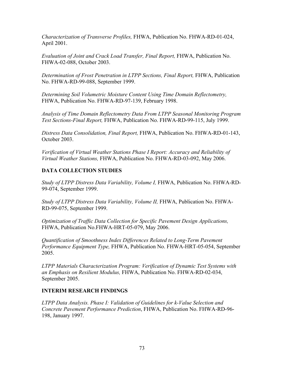*Characterization of Transverse Profiles,* FHWA, Publication No. FHWA-RD-01-024, April 2001.

*Evaluation of Joint and Crack Load Transfer, Final Report,* FHWA, Publication No. FHWA-02-088, October 2003.

*Determination of Frost Penetration in LTPP Sections, Final Report,* FHWA, Publication No. FHWA-RD-99-088, September 1999.

*Determining Soil Volumetric Moisture Content Using Time Domain Reflectometry,* FHWA, Publication No. FHWA-RD-97-139, February 1998.

*Analysis of Time Domain Reflectometry Data From LTPP Seasonal Monitoring Program Test Sections-Final Report,* FHWA, Publication No. FHWA-RD-99-115, July 1999.

*Distress Data Consolidation, Final Report,* FHWA, Publication No. FHWA-RD-01-143, October 2003.

*Verification of Virtual Weather Stations Phase I Report: Accuracy and Reliability of Virtual Weather Stations,* FHWA, Publication No. FHWA-RD-03-092, May 2006.

# **DATA COLLECTION STUDIES**

*Study of LTPP Distress Data Variability, Volume I,* FHWA, Publication No. FHWA-RD-99-074, September 1999.

*Study of LTPP Distress Data Variability, Volume II,* FHWA, Publication No. FHWA-RD-99-075, September 1999.

*Optimization of Traffic Data Collection for Specific Pavement Design Applications,* FHWA, Publication No.FHWA-HRT-05-079, May 2006.

*Quantification of Smoothness Index Differences Related to Long-Term Pavement Performance Equipment Type,* FHWA, Publication No. FHWA-HRT-05-054, September 2005.

*LTPP Materials Characterization Program: Verification of Dynamic Test Systems with an Emphasis on Resilient Modulus,* FHWA, Publication No. FHWA-RD-02-034, September 2005.

# **INTERIM RESEARCH FINDINGS**

*LTPP Data Analysis. Phase I: Validation of Guidelines for k-Value Selection and Concrete Pavement Performance Prediction*, FHWA, Publication No. FHWA-RD-96- 198, January 1997.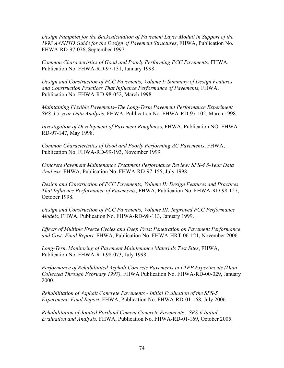*Design Pamphlet for the Backcalculation of Pavement Layer Moduli in Support of the 1993 AASHTO Guide for the Design of Pavement Structures*, FHWA, Publication No. FHWA-RD-97-076, September 1997.

*Common Characteristics of Good and Poorly Performing PCC Pavements*, FHWA, Publication No. FHWA-RD-97-131, January 1998.

*Design and Construction of PCC Pavements, Volume I: Summary of Design Features and Construction Practices That Influence Performance of Pavements,* FHWA, Publication No. FHWA-RD-98-052, March 1998.

*Maintaining Flexible Pavements–The Long-Term Pavement Performance Experiment SPS-3 5-year Data Analysis*, FHWA, Publication No. FHWA-RD-97-102, March 1998.

*Investigation of Development of Pavement Roughnes*s, FHWA, Publication NO. FHWA-RD-97-147, May 1998.

*Common Characteristics of Good and Poorly Performing AC Pavements*, FHWA, Publication No. FHWA-RD-99-193, November 1999.

*Concrete Pavement Maintenance Treatment Performance Review: SPS-4 5-Year Data Analysis,* FHWA, Publication No. FHWA-RD-97-155, July 1998.

*Design and Construction of PCC Pavements, Volume II: Design Features and Practices That Influence Performance of Pavements*, FHWA, Publication No. FHWA-RD-98-127, October 1998.

*Design and Construction of PCC Pavements, Volume III: Improved PCC Performance Models*, FHWA, Publication No. FHWA-RD-98-113, January 1999.

*Effects of Multiple Freeze Cycles and Deep Frost Penetration on Pavement Performance and Cost: Final Report,* FHWA, Publication No. FHWA-HRT-06-121, November 2006.

*Long-Term Monitoring of Pavement Maintenance Materials Test Sites*, FHWA, Publication No. FHWA-RD-98-073, July 1998.

*Performance of Rehabilitated Asphalt Concrete Pavements in LTPP Experiments (Data Collected Through February 1997)*, FHWA Publication No. FHWA-RD-00-029, January 2000.

*Rehabilitation of Asphalt Concrete Pavements - Initial Evaluation of the SPS-5 Experiment: Final Report*, FHWA, Publication No. FHWA-RD-01-168, July 2006.

*Rehabilitation of Jointed Portland Cement Concrete Pavements—SPS-6 Initial Evaluation and Analysis,* FHWA, Publication No. FHWA-RD-01-169, October 2005.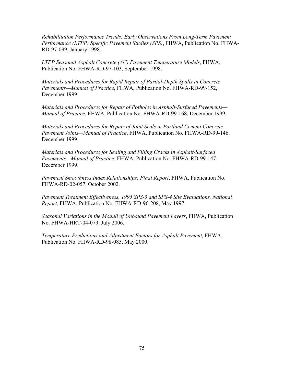*Rehabilitation Performance Trends: Early Observations From Long-Term Pavement Performance (LTPP) Specific Pavement Studies (SPS)*, FHWA, Publication No. FHWA-RD-97-099, January 1998.

*LTPP Seasonal Asphalt Concrete (AC) Pavement Temperature Models*, FHWA, Publication No. FHWA-RD-97-103, September 1998.

*Materials and Procedures for Rapid Repair of Partial-Depth Spalls in Concrete Pavements—Manual of Practice*, FHWA, Publication No. FHWA-RD-99-152, December 1999.

*Materials and Procedures for Repair of Potholes in Asphalt-Surfaced Pavements— Manual of Practice*, FHWA, Publication No. FHWA-RD-99-168, December 1999.

*Materials and Procedures for Repair of Joint Seals in Portland Cement Concrete Pavement Joints—Manual of Practice*, FHWA, Publication No. FHWA-RD-99-146, December 1999.

*Materials and Procedures for Sealing and Filling Cracks in Asphalt-Surfaced Pavements—Manual of Practice*, FHWA, Publication No. FHWA-RD-99-147, December 1999.

*Pavement Smoothness Index Relationships: Final Report*, FHWA, Publication No. FHWA-RD-02-057, October 2002.

*Pavement Treatment Effectiveness, 1995 SPS-3 and SPS-4 Site Evaluations, National Report*, FHWA, Publication No. FHWA-RD-96-208, May 1997.

*Seasonal Variations in the Moduli of Unbound Pavement Layers*, FHWA, Publication No. FHWA-HRT-04-079, July 2006.

*Temperature Predictions and Adjustment Factors for Asphalt Pavement,* FHWA, Publication No. FHWA-RD-98-085, May 2000.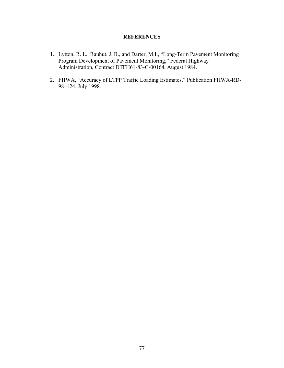# **REFERENCES**

- 1. Lytton, R. L., Rauhut, J. B., and Darter, M.I., "Long-Term Pavement Monitoring Program Development of Pavement Monitoring," Federal Highway Administration, Contract DTFH61-83-C-00164, August 1984.
- 2. FHWA, "Accuracy of LTPP Traffic Loading Estimates," Publication FHWA-RD-98–124, July 1998.